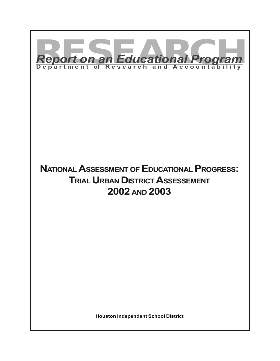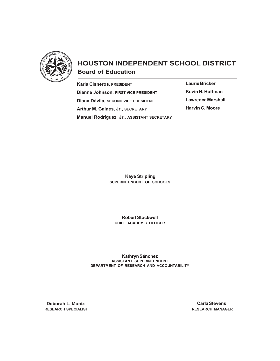

# **HOUSTON INDEPENDENT SCHOOL DISTRICT Board of Education**

**Karla Cisneros, PRESIDENT Dianne Johnson, FIRST VICE PRESIDENT Diana Dávila, SECOND VICE PRESIDENT Arthur M. Gaines, Jr., SECRETARY Manuel Rodríguez, Jr., ASSISTANT SECRETARY** **Laurie Bricker Kevin H. Hoffman Lawrence Marshall Harvin C. Moore**

 **Kaye Stripling SUPERINTENDENT OF SCHOOLS**

**Robert Stockwell CHIEF ACADEMIC OFFICER**

**Kathryn Sánchez ASSISTANT SUPERINTENDENT DEPARTMENT OF RESEARCH AND ACCOUNTABILITY**

 **Deborah L. Muñiz RESEARCH SPECIALIST**

**Carla Stevens RESEARCH MANAGER**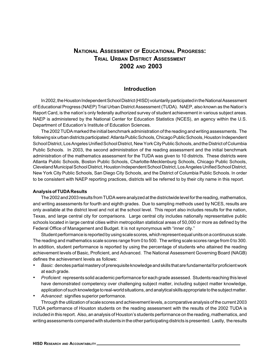## **NATIONAL ASSESSMENT OF EDUCATIONAL PROGRESS: TRIAL URBAN DISTRICT ASSESSMENT 2002 AND 2003**

### **Introduction**

In 2002, the Houston Independent School District (HISD) voluntarily participated in the National Assessment of Educational Progress (NAEP) Trial Urban District Assessment (TUDA). NAEP, also known as the Nation's Report Card, is the nation's only federally authorized survey of student achievement in various subject areas. NAEP is administered by the National Center for Education Statistics (NCES), an agency within the U.S. Department of Education's Institute of Education Sciences.

The 2002 TUDA marked the initial benchmark administration of the reading and writing assessments. The following six urban districts participated: Atlanta Public Schools, Chicago Public Schools, Houston Independent School District, Los Angeles Unified School District, New York City Public Schools, and the District of Columbia Public Schools. In 2003, the second administration of the reading assessment and the initial benchmark administration of the mathematics assessment for the TUDA was given to 10 districts. These districts were Atlanta Public Schools, Boston Public Schools, Charlotte-Mecklenburg Schools, Chicago Public Schools, Cleveland Municipal School District, Houston Independent School District, Los Angeles Unified School District, New York City Public Schools, San Diego City Schools, and the District of Columbia Public Schools. In order to be consistent with NAEP reporting practices, districts will be referred to by their city name in this report.

#### **Analysis of TUDA Results**

The 2002 and 2003 results from TUDA were analyzed at the districtwide level for the reading, mathematics, and writing assessments for fourth and eighth grades. Due to sampling methods used by NCES, results are only available at the district level and not at the school level. This report also includes results for the nation, Texas, and large central city for comparisons. Large central city includes nationally representative public schools located in large central cities within metropolitan statistical areas of 50,000 or more as defined by the Federal Office of Management and Budget. It is not synonymous with "inner city."

Student performance is reported by using scale scores, which represent equal units on a continuous scale. The reading and mathematics scale scores range from 0 to 500. The writing scale scores range from 0 to 300. In addition, student performance is reported by using the percentage of students who attained the reading achievement levels of Basic, Proficient, and Advanced. The National Assessment Governing Board (NAGB) defines the achievement levels as follows:

- *• Basic*: denotes partial mastery of prerequisite knowledge and skills that are fundamental for proficient work at each grade.
- *• Proficient*: represents solid academic performance for each grade assessed. Students reaching this level have demonstrated competency over challenging subject matter, including subject matter knowledge, application of such knowledge to real-world situations, and analytical skills appropriate to the subject matter.
- *• Advanced*: signifies superior performance.

Through the utilization of scale scores and achievement levels, a comparative analysis of the current 2003 TUDA performance of Houston students on the reading assessment with the results of the 2002 TUDA is included in this report. Also, an analysis of Houston's students performance on the reading, mathematics, and writing assessments compared with students in the other participating districts is presented. Lastly, the results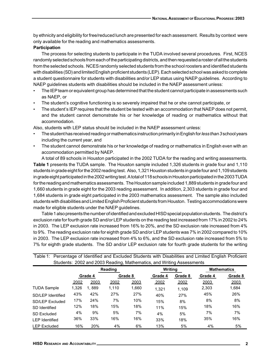by ethnicity and eligibility for free/reduced lunch are presented for each assessment. Results by context were only available for the reading and mathematics assessments.

### **Participation**

The process for selecting students to participate in the TUDA involved several procedures. First, NCES randomly selected schools from each of the participating districts, and then requested a roster of all the students from the selected schools. NCES randomly selected students from the school roosters and identified students with disabilities (SD) and limited English proficient students (LEP). Each selected school was asked to complete a student questionnaire for students with disabilities and/or LEP status using NAEP guidelines. According to NAEP guidelines students with disabilities should be included in the NAEP assessment unless:

- The IEP team or equivalent group has determined that the student cannot participate in assessments such as NAEP, or
- The student's cognitive functioning is so severely impaired that he or she cannot participate, or
- The student's IEP requires that the student be tested with an accommodation that NAEP does not permit, and the student cannot demonstrate his or her knowledge of reading or mathematics without that accommodation.

Also, students with LEP status should be included in the NAEP assessment unless:

- The student has received reading or mathematics instruction primarily in English for *less than 3* school years including the current year, and
- The student cannot demonstrate his or her knowledge of reading or mathematics in English even with an accommodation permitted by NAEP.

A total of 89 schools in Houston participated in the 2002 TUDA for the reading and writing assessments. **Table 1** presents the TUDA sample. The Houston sample included 1,326 students in grade four and 1,110 students in grade eight for the 2002 reading test. Also, 1,321 Houston students in grade four and 1,109 students in grade eight participated in the 2002 writing test. A total of 118 schools in Houston participated in the 2003 TUDA for the reading and mathematics assessments. The Houston sample included 1,889 students in grade four and 1,660 students in grade eight for the 2003 reading assessment. In addition, 2,303 students in grade four and 1,684 students in grade eight participated in the 2003 mathematics assessment. The sample also included students with disabilities and Limited English Proficient students from Houston. Testing accommodations were made for eligible students under the NAEP guidelines.

Table 1 also presents the number of identified and excluded HISD special population students. The district's exclusion rate for fourth grade SD and/or LEP students on the reading test increased from 17% in 2002 to 24% in 2003. The LEP exclusion rate increased from 16% to 20%, and the SD exclusion rate increased from 4% to 9%. The reading exclusion rate for eighth grade SD and/or LEP students was 7% in 2002 compared to 10% in 2003. The LEP exclusion rate increased from 4% to 6%, and the SD exclusion rate increased from 5% to 7% for eighth grade students. The SD and/or LEP exclusion rate for fourth grade students for the writing

|                        |       |         |         |               | Students: 2002 and 2003 Reading, Mathematics, and Writing Assessments |         |         |                    |
|------------------------|-------|---------|---------|---------------|-----------------------------------------------------------------------|---------|---------|--------------------|
|                        |       |         | Reading |               | Writing                                                               |         |         | <b>Mathematics</b> |
|                        |       | Grade 4 |         | Grade 8       | Grade 4                                                               | Grade 8 | Grade 4 | Grade 8            |
|                        | 2002  | 2003    | 2002    | <u> 2003 </u> | 2002                                                                  | 2002    | 2003    | 2003               |
| <b>TUDA Sample</b>     | 1.326 | 1.889   | 1.110   | 1,660         | 1.321                                                                 | 1.109   | 2,303   | 1,684              |
| SD/LEP Identified      | 43%   | 42%     | 27%     | 27%           | 40%                                                                   | 27%     | 45%     | 26%                |
| <b>SD/LEP Excluded</b> | 17%   | 24%     | 7%      | 10%           | 15%                                                                   | 8%      | 8%      | 8%                 |
| SD Identified          | 12%   | 18%     | 15%     | 18%           | 11%                                                                   | 15%     | 18%     | 16%                |
| <b>SD Excluded</b>     | 4%    | 9%      | 5%      | 7%            | 4%                                                                    | 5%      | 7%      | 7%                 |
| <b>LEP</b> Identified  | 36%   | 33%     | 16%     | 16%           | 33%                                                                   | 18%     | 35%     | 16%                |
| <b>LEP Excluded</b>    | 16%   | 20%     | 4%      | 6%            | 13%                                                                   | 5%      | 4%      | 5%                 |

Table 1: Percentage of Identified and Excluded Students with Disabilities and Limited English Proficient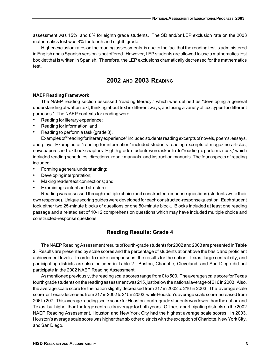assessment was 15% and 8% for eighth grade students. The SD and/or LEP exclusion rate on the 2003 mathematics test was 8% for fourth and eighth grade.

Higher exclusion rates on the reading assessments is due to the fact that the reading test is administered in English and a Spanish version is not offered. However, LEP students are allowed to use a mathematics test booklet that is written in Spanish. Therefore, the LEP exclusions dramatically decreased for the mathematics test.

## **2002 AND 2003 READING**

### **NAEP Reading Framework**

The NAEP reading section assessed "reading literacy," which was defined as "developing a general understanding of written text, thinking about text in different ways, and using a variety of text types for different purposes." The NAEP contexts for reading were:

- Reading for literary experience;
- Reading for information; and
- Reading to perform a task (grade 8).

Examples of "reading for literary experience" included students reading excerpts of novels, poems, essays, and plays. Examples of "reading for information" included students reading excerpts of magazine articles, newspapers, and textbook chapters. Eighth grade students were asked to do "reading to perform a task," which included reading schedules, directions, repair manuals, and instruction manuals. The four aspects of reading included:

- Forming a general understanding;
- Developing interpretation;
- Making reader/text connections; and
- Examining content and structure.

Reading was assessed through multiple choice and constructed-response questions (students write their own response). Unique scoring guides were developed for each constructed-response question. Each student took either two 25-minute blocks of questions or one 50-minute block. Blocks included at least one reading passage and a related set of 10-12 comprehension questions which may have included multiple choice and constructed-response questions.

## **Reading Results: Grade 4**

The NAEP Reading Assessment results of fourth-grade students for 2002 and 2003 are presented in **Table 2**. Results are presented by scale scores and the percentage of students at or above the basic and proficient achievement levels. In order to make comparisons, the results for the nation, Texas, large central city, and participating districts are also included in Table 2. Boston, Charlotte, Cleveland, and San Diego did not participate in the 2002 NAEP Reading Assessment.

As mentioned previously, the reading scale scores range from 0 to 500. The average scale score for Texas fourth grade students on the reading assessment was 215, just below the national average of 216 in 2003. Also, the average scale score for the nation slightly decreased from 217 in 2002 to 216 in 2003. The average scale score for Texas decreased from 217 in 2002 to 215 in 2003, while Houston's average scale score increased from 206 to 207. This average reading scale score for Houston fourth-grade students was lower than the nation and Texas, but higher than the large central city average for both years. Of the six participating districts on the 2002 NAEP Reading Assessment, Houston and New York City had the highest average scale scores. In 2003, Houston's average scale score was higher than six other districts with the exception of Charlotte, New York City, and San Diego.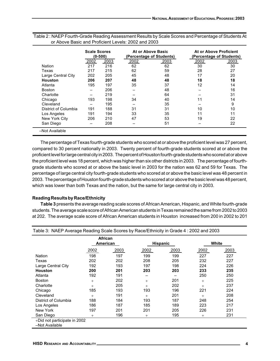|                      | <b>Scale Scores</b> | $(0-500)$ |      | At or Above Basic<br>(Percentage of Students) |      | At or Above Proficient<br>(Percentage of Students) |
|----------------------|---------------------|-----------|------|-----------------------------------------------|------|----------------------------------------------------|
|                      | 2002                | 2003      | 2002 | 2003                                          | 2002 | 2003                                               |
| Nation               | 217                 | 216       | 62   | 62                                            | 30   | 30                                                 |
| Texas                | 217                 | 215       | 62   | 59                                            | 28   | 27                                                 |
| Large Central City   | 202                 | 205       | 45   | 48                                            | 17   | 20                                                 |
| <b>Houston</b>       | 206                 | 207       | 48   | 48                                            | 18   | 18                                                 |
| Atlanta              | 195                 | 197       | 35   | 37                                            | 12   | 14                                                 |
| <b>Boston</b>        |                     | 206       |      | 48                                            |      | 16                                                 |
| Charlotte            |                     | 219       |      | 64                                            |      | 31                                                 |
| Chicago              | 193                 | 198       | 34   | 40                                            | 11   | 14                                                 |
| Cleveland            |                     | 195       |      | 35                                            |      | 9                                                  |
| District of Columbia | 191                 | 188       | 31   | 31                                            | 10   | 10                                                 |
| Los Angeles          | 191                 | 194       | 33   | 35                                            | 11   | 11                                                 |
| New York City        | 206                 | 210       | 47   | 53                                            | 19   | 22                                                 |
| San Diego            |                     | 208       |      | 51                                            |      | 22                                                 |
| -Not Available       |                     |           |      |                                               |      |                                                    |

Table 2 : NAEP Fourth-Grade Reading Assessment Results by Scale Scores and Percentage of Students At or Above Basic and Proficient Levels: 2002 and 2003

The percentage of Texas fourth-grade students who scored at or above the proficient level was 27 percent, compared to 30 percent nationally in 2003. Twenty percent of fourth-grade students scored at or above the proficient level for large central city in 2003. The percent of Houston fourth-grade students who scored at or above the proficient level was 18 percent, which was higher than six other districts in 2003. The percentage of fourthgrade students who scored at or above the basic level in 2003 for the nation was 62 and 59 for Texas. The percentage of large central city fourth-grade students who scored at or above the basic level was 48 percent in 2003. The percentage of Houston fourth-grade students who scored at or above the basic level was 48 percent, which was lower than both Texas and the nation, but the same for large central city in 2003.

### **Reading Results by Race/Ethnicity**

**Table 3** presents the average reading scale scores of African American, Hispanic, and White fourth-grade students. The average scale score of African American students in Texas remained the same from 2002 to 2003 at 202. The average scale score of African American students in Houston increased from 200 in 2002 to 201

|                      |        | <b>African</b><br>American                                                               |        | <b>Hispanic</b> |        | White |  |
|----------------------|--------|------------------------------------------------------------------------------------------|--------|-----------------|--------|-------|--|
|                      | 2002   | 2003<br>198<br>197<br>202<br>202<br>192<br>193<br>200<br>201<br>192<br>191<br>202<br>$+$ | 2002   | 2003            | 2002   | 2003  |  |
| Nation               |        |                                                                                          | 199    | 199             | 227    | 227   |  |
| Texas                |        |                                                                                          | 208    | 205             | 232    | 227   |  |
| Large Central City   |        |                                                                                          | 197    | 198             | 224    | 226   |  |
| <b>Houston</b>       |        |                                                                                          | 203    | 203             | 233    | 235   |  |
| Atlanta              |        |                                                                                          |        |                 | 250    | 250   |  |
| <b>Boston</b>        |        |                                                                                          | $^{+}$ | 201             | $^{+}$ | 225   |  |
| Charlotte            | $^{+}$ | 205                                                                                      | $^{+}$ | 202             | $^{+}$ | 237   |  |
| Chicago              | 185    | 193                                                                                      | 193    | 196             | 221    | 224   |  |
| Cleveland            | $^{+}$ | 191                                                                                      | $^{+}$ | 201             | $^{+}$ | 208   |  |
| District of Columbia | 188    | 184                                                                                      | 193    | 187             | 248    | 254   |  |
| Los Angeles          | 186    | 187                                                                                      | 185    | 189             | 223    | 217   |  |
| New York             | 197    | 201                                                                                      | 201    | 205             | 226    | 231   |  |
| San Diego            | $^{+}$ | 196                                                                                      | $^{+}$ | 195             | $^{+}$ | 231   |  |

Table 3: NAEP Average Reading Scale Scores by Race/Ethnicity in Grade 4 : 2002 and 2003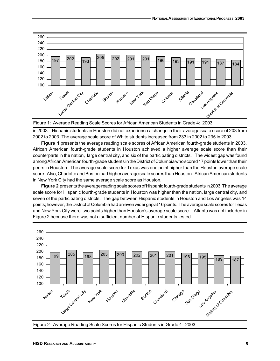

Figure 1: Average Reading Scale Scores for African American Students in Grade 4: 2003

in 2003. Hispanic students in Houston did not experience a change in their average scale score of 203 from 2002 to 2003. The average scale score of White students increased from 233 in 2002 to 235 in 2003.

**Figure 1** presents the average reading scale scores of African American fourth-grade students in 2003. African American fourth-grade students in Houston achieved a higher average scale score than their counterparts in the nation, large central city, and six of the participating districts. The widest gap was found among African American fourth-grade students in the District of Columbia who scored 17 points lower than their peers in Houston. The average scale score for Texas was one point higher than the Houston average scale score. Also, Charlotte and Boston had higher average scale scores than Houston. African American students in New York City had the same average scale score as Houston.

**Figure 2** presents the average reading scale scores of Hispanic fourth-grade students in 2003. The average scale score for Hispanic fourth-grade students in Houston was higher than the nation, large central city, and seven of the participating districts. The gap between Hispanic students in Houston and Los Angeles was 14 points; however, the District of Columbia had an even wider gap at 16 points. The average scale scores for Texas and New York City were two points higher than Houston's average scale score. Atlanta was not included in Figure 2 because there was not a sufficient number of Hispanic students tested.



Figure 2: Average Reading Scale Scores for Hispanic Students in Grade 4: 2003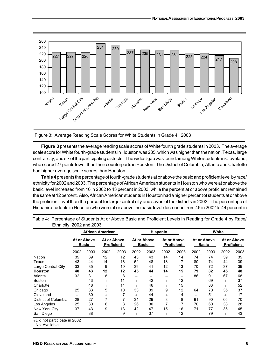

Figure 3: Average Reading Scale Scores for White Students in Grade 4: 2003

**Figure 3** presents the average reading scale scores of White fourth grade students in 2003. The average scale score for White fourth-grade students in Houston was 235, which was higher than the nation, Texas, large central city, and six of the participating districts. The widest gap was found among White students in Cleveland, who scored 27 points lower than their counterparts in Houston. The District of Columbia, Atlanta and Charlotte had higher average scale scores than Houston.

**Table 4** presents the percentage of fourth-grade students at or above the basic and proficient level by race/ ethnicity for 2002 and 2003. The percentage of African American students in Houston who were at or above the basic level increased from 40 in 2002 to 43 percent in 2003, while the percent at or above proficient remained the same at 12 percent. Also, African American students in Houston had a higher percent of students at or above the proficient level than the percent for large central city and seven of the districts in 2003. The percentage of Hispanic students in Houston who were at or above the basic level decreased from 45 in 2002 to 44 percent in

|                      |        |                             | <b>African American</b>          |      |        |                                                                 | <b>Hispanic</b> |      | White                       |      |                                  |      |
|----------------------|--------|-----------------------------|----------------------------------|------|--------|-----------------------------------------------------------------|-----------------|------|-----------------------------|------|----------------------------------|------|
|                      |        | At or Above<br><b>Basic</b> | At or Above<br><b>Proficient</b> |      |        | At or Above<br>At or Above<br><b>Proficient</b><br><b>Basic</b> |                 |      | At or Above<br><b>Basic</b> |      | At or Above<br><b>Proficient</b> |      |
|                      | 2002   | 2003                        | 2002                             | 2003 | 2002   | 2003                                                            | 2002            | 2003 | 2002                        | 2003 | 2002                             | 2003 |
| Nation               | 39     | 39                          | 12                               | 12   | 43     | 43                                                              | 14              | 14   | 74                          | 74   | 39                               | 39   |
| Texas                | 43     | 44                          | 14                               | 16   | 52     | 48                                                              | 18              | 17   | 80                          | 74   | 44                               | 39   |
| Large Central City   | 33     | 35                          | 9                                | 10   | 39     | 41                                                              | 12              | 13   | 70                          | 72   | 37                               | 39   |
| <b>Houston</b>       | 40     | 43                          | 12                               | 12   | 45     | 44                                                              | 14              | 15   | 79                          | 82   | 45                               | 48   |
| Atlanta              | 32     | 31                          | 8                                | 8    | -      |                                                                 |                 |      | 86                          | 91   | 67                               | 68   |
| <b>Boston</b>        | $^{+}$ | 43                          | $^{+}$                           | 11   | $+$    | 42                                                              | $+$             | 12   | $+$                         | 69   | $^{+}$                           | 37   |
| Charlotte            | $^{+}$ | 48                          | $^{+}$                           | 14   | $^{+}$ | 46                                                              | $+$             | 15   | $+$                         | 83   | $^{+}$                           | 52   |
| Chicago              | 25     | 33                          | 5                                | 10   | 33     | 39                                                              | 9               | 12   | 64                          | 70   | 35                               | 37   |
| Cleveland            | $^{+}$ | 30                          | $^{+}$                           | 7    | $^{+}$ | 44                                                              | $+$             | 14   | $+$                         | 51   | $^{+}$                           | 17   |
| District of Columbia | 28     | 27                          | 7                                | 7    | 34     | 29                                                              | 8               | 8    | 91                          | 90   | 66                               | 70   |
| Los Angeles          | 25     | 30                          | 6                                | 8    | 26     | 30                                                              |                 | 7    | 70                          | 60   | 38                               | 28   |
| New York City        | 37     | 43                          | 9                                | 13   | 42     | 47                                                              | 15              | 16   | 71                          | 77   | 35                               | 45   |
| San Diego            | $^{+}$ | 38                          | $^{+}$                           | 9    | $^{+}$ | 37                                                              | $+$             | 12   | $+$                         | 79   | $^{+}$                           | 43   |

Table 4: Percentage of Students At or Above Basic and Proficient Levels in Reading for Grade 4 by Race/ Ethnicity: 2002 and 2003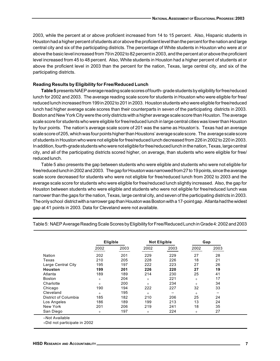2003, while the percent at or above proficient increased from 14 to 15 percent. Also, Hispanic students in Houston had a higher percent of students at or above the proficient level than the percent for the nation and large central city and six of the participating districts. The percentage of White students in Houston who were at or above the basic level increased from 79 in 2002 to 82 percent in 2003, and the percent at or above the proficient level increased from 45 to 48 percent. Also, White students in Houston had a higher percent of students at or above the proficient level in 2003 than the percent for the nation, Texas, large central city, and six of the participating districts.

#### **Reading Results by Eligibility for Free/Reduced Lunch**

**Table 5** presents NAEP average reading scale scores of fourth- grade students by eligibility for free/reduced lunch for 2002 and 2003. The average reading scale score for students in Houston who were eligible for free/ reduced lunch increased from 199 in 2002 to 201 in 2003. Houston students who were eligible for free/reduced lunch had higher average scale scores than their counterparts in seven of the participating districts in 2003. Boston and New York City were the only districts with a higher average scale score than Houston. The average scale score for students who were eligible for free/reduced lunch in large central cities was lower than Houston by four points. The nation's average scale score of 201 was the same as Houston's. Texas had an average scale score of 205, which was four points higher than Houstons' average scale score. The average scale score of students in Houston who were not eligible for free/reduced lunch decreased from 226 in 2002 to 220 in 2003. In addition, fourth-grade students who were not eligible for free/reduced lunch in the nation, Texas, large central city, and all of the participating districts scored higher, on average, than students who were eligible for free/ reduced lunch.

Table 5 also presents the gap between students who were eligible and students who were not eligible for free/reduced lunch in 2002 and 2003. The gap for Houston was narrowed from 27 to 19 points, since the average scale score decreased for students who were not eligible for free/reduced lunch from 2002 to 2003 and the average scale score for students who were eligible for free/reduced lunch slightly increased. Also, the gap for Houston between students who were eligible and students who were not eligible for free/reduced lunch was narrower than the gaps for the nation, Texas, large central city, and seven of the participating districts in 2003. The only school district with a narrower gap than Houston was Boston with a 17-point gap. Atlanta had the widest gap at 41 points in 2003. Data for Cleveland were not available.

|                      | Eligible |      |        | <b>Not Eligible</b> | Gap    |      |
|----------------------|----------|------|--------|---------------------|--------|------|
|                      | 2002     | 2003 | 2002   | 2003                | 2002   | 2003 |
| Nation               | 202      | 201  | 229    | 229                 | 27     | 28   |
| Texas                | 210      | 205  | 228    | 226                 | 18     | 21   |
| Large Central City   | 195      | 197  | 222    | 223                 | 27     | 26   |
| Houston              | 199      | 201  | 226    | 220                 | 27     | 19   |
| Atlanta              | 189      | 189  | 214    | 230                 | 25     | 41   |
| <b>Boston</b>        | $+$      | 204  | $+$    | 221                 | $+$    | 17   |
| Charlotte            | $^{+}$   | 200  | $^{+}$ | 234                 | $^{+}$ | 34   |
| Chicago              | 190      | 194  | 222    | 227                 | 32     | 33   |
| Cleveland            | $^{+}$   | 195  | $+$    |                     | $+$    |      |
| District of Columbia | 185      | 182  | 210    | 206                 | 25     | 24   |
| Los Angeles          | 186      | 189  | 199    | 213                 | 13     | 24   |
| New York             | 201      | 206  | 219    | 241                 | 18     | 35   |
| San Diego            | $^{+}$   | 197  | $^{+}$ | 224                 | $+$    | 27   |

Table 5: NAEP Average Reading Scale Scores by Eligibility for Free/Reduced Lunch in Grade 4: 2002 and 2003

–Not Available

+Did not participate in 2002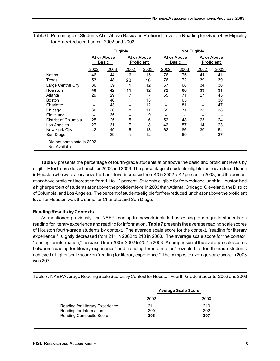|                      |        | <b>Eligible</b>             |                                  |      |                             | <b>Not Eligible</b> |                                  |      |
|----------------------|--------|-----------------------------|----------------------------------|------|-----------------------------|---------------------|----------------------------------|------|
|                      |        | At or Above<br><b>Basic</b> | At or Above<br><b>Proficient</b> |      | At or Above<br><b>Basic</b> |                     | At or Above<br><b>Proficient</b> |      |
|                      | 2002   | 2003                        | 2002                             | 2003 | 2002                        | 2003                | 2002                             | 2003 |
| Nation               | 46     | 44                          | 16                               | 15   | 76                          | 75                  | 41                               | 41   |
| Texas                | 53     | 48                          | 20                               | 16   | 76                          | 72                  | 39                               | 39   |
| Large Central City   | 36     | 39                          | 11                               | 12   | 67                          | 68                  | 34                               | 36   |
| <b>Houston</b>       | 40     | 42                          | 11                               | 12   | 72                          | 66                  | 39                               | 31   |
| Atlanta              | 29     | 29                          | 7                                | 7    | 55                          | 71                  | 27                               | 45   |
| <b>Boston</b>        | $^{+}$ | 46                          | $^{+}$                           | 13   | $+$                         | 65                  | $^{+}$                           | 30   |
| Charlotte            | $^{+}$ | 43                          | $^{+}$                           | 12   | $+$                         | 81                  | $^{+}$                           | 47   |
| Chicago              | 30     | 36                          | 8                                | 11   | 65                          | 71                  | 33                               | 38   |
| Cleveland            | $+$    | 35                          | $+$                              | 9    | $+$                         | -                   | $^{+}$                           |      |
| District of Columbia | 25     | 25                          | 5                                | 6    | 52                          | 48                  | 23                               | 24   |
| Los Angeles          | 27     | 31                          | 7                                | 8    | 42                          | 57                  | 14                               | 23   |
| New York City        | 42     | 49                          | 15                               | 18   | 62                          | 86                  | 30                               | 54   |
| San Diego            | $^{+}$ | 39                          | $+$                              | 12   | $+$                         | 69                  | $^{+}$                           | 37   |

Table 6: Percentage of Students At or Above Basic and Proficient Levels in Reading for Grade 4 by Eligibility for Free/Reduced Lunch: 2002 and 2003

–Not Available

**Table 6** presents the percentage of fourth-grade students at or above the basic and proficient levels by eligibility for free/reduced lunch for 2002 and 2003. The percentage of students eligible for free/reduced lunch in Houston who were at or above the basic level increased from 40 in 2002 to 42 percent in 2003, and the percent at or above proficient increased from 11 to 12 percent. Students eligible for free/reduced lunch in Houston had a higher percent of students at or above the proficient level in 2003 than Atlanta, Chicago, Cleveland, the District of Columbia, and Los Angeles. The percent of students eligible for free/reduced lunch at or above the proficient level for Houston was the same for Charlotte and San Diego.

### **Reading Results by Contexts**

As mentioned previously, the NAEP reading framework included assessing fourth-grade students on reading for literary experience and reading for information. **Table 7** presents the average reading scale scores of Houston fourth-grade students by context. The average scale score for the context, "reading for literary experience," slightly decreased from 211 in 2002 to 210 in 2003. The average scale score for the context, "reading for information," increased from 200 in 2002 to 202 in 2003. A comparison of the average scale scores between "reading for literary experience" and "reading for information" reveals that fourth-grade students achieved a higher scale score on "reading for literary experience." The composite average scale score in 2003 was 207.

Table 7: NAEP Average Reading Scale Scores by Context for Houston Fourth-Grade Students: 2002 and 2003

|                                 |      | <b>Average Scale Score</b> |
|---------------------------------|------|----------------------------|
|                                 | 2002 | 2003                       |
| Reading for Literary Experience | 211  | 210                        |
| Reading for Information         | 200  | 202                        |
| <b>Reading Composite Score</b>  | 206  | 207                        |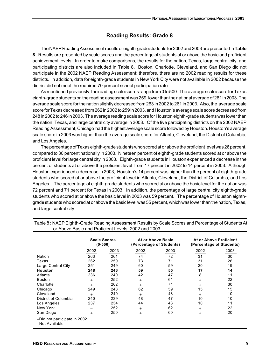### **Reading Results: Grade 8**

The NAEP Reading Assessment results of eighth-grade students for 2002 and 2003 are presented in **Table 8**. Results are presented by scale scores and the percentage of students at or above the basic and proficient achievement levels. In order to make comparisons, the results for the nation, Texas, large central city, and participating districts are also included in Table 8. Boston, Charlotte, Cleveland, and San Diego did not participate in the 2002 NAEP Reading Assessment; therefore, there are no 2002 reading results for these districts. In addition, data for eighth-grade students in New York City were not available in 2002 because the district did not meet the required 70 percent school participation rate.

As mentioned previously, the reading scale scores range from 0 to 500. The average scale score for Texas eighth-grade students on the reading assessment was 259, lower than the national average of 261 in 2003. The average scale score for the nation slightly decreased from 263 in 2002 to 261 in 2003. Also, the average scale score for Texas decreased from 262 in 2002 to 259 in 2003, and Houston's average scale score decreased from 248 in 2002 to 246 in 2003. The average reading scale score for Houston eighth-grade students was lower than the nation, Texas, and large central city average in 2003. Of the five participating districts on the 2002 NAEP Reading Assessment, Chicago had the highest average scale score followed by Houston. Houston's average scale score in 2003 was higher than the average scale score for Atlanta, Cleveland, the District of Columbia, and Los Angeles.

The percentage of Texas eighth-grade students who scored at or above the proficient level was 26 percent, compared to 30 percent nationally in 2003. Nineteen percent of eighth-grade students scored at or above the proficient level for large central city in 2003. Eighth-grade students in Houston experienced a decrease in the percent of students at or above the proficient level from 17 percent in 2002 to 14 percent in 2003. Although Houston experienced a decrease in 2003, Houston's 14 percent was higher than the percent of eighth-grade students who scored at or above the proficient level in Atlanta, Cleveland, the District of Columbia, and Los Angeles . The percentage of eighth-grade students who scored at or above the basic level for the nation was 72 percent and 71 percent for Texas in 2003. In addition, the percentage of large central city eighth-grade students who scored at or above the basic level in 2003 was 59 percent. The percentage of Houston eighthgrade students who scored at or above the basic level was 55 percent, which was lower than the nation, Texas, and large central city.

|                      | <b>Scale Scores</b><br>$(0-500)$<br>2002<br>2003<br>263<br>261<br>262<br>259<br>251<br>249<br>248<br>246 |     |        | At or Above Basic<br>(Percentage of Students) | At or Above Proficient<br>(Percentage of Students) |      |  |
|----------------------|----------------------------------------------------------------------------------------------------------|-----|--------|-----------------------------------------------|----------------------------------------------------|------|--|
|                      |                                                                                                          |     | 2002   | 2003                                          | 2002                                               | 2003 |  |
| Nation               |                                                                                                          |     | 74     | 72                                            | 31                                                 | 30   |  |
| Texas                |                                                                                                          |     | 73     | 71                                            | 31                                                 | 26   |  |
| Large Central City   |                                                                                                          |     | 60     | 59                                            | 20                                                 | 19   |  |
| Houston              |                                                                                                          |     | 59     | 55                                            | 17                                                 | 14   |  |
| Atlanta              | 236                                                                                                      | 240 | 42     | 47                                            | 8                                                  | 11   |  |
| <b>Boston</b>        | $^{+}$                                                                                                   | 252 | $^{+}$ | 61                                            | $^{+}$                                             | 22   |  |
| Charlotte            | $^{+}$                                                                                                   | 262 | $^{+}$ | 71                                            | $^{+}$                                             | 30   |  |
| Chicago              | 249                                                                                                      | 248 | 62     | 59                                            | 15                                                 | 15   |  |
| Cleveland            | $^{+}$                                                                                                   | 240 | $^{+}$ | 48                                            | $^{+}$                                             | 10   |  |
| District of Columbia | 240                                                                                                      | 239 | 48     | 47                                            | 10                                                 | 10   |  |
| Los Angeles          | 237                                                                                                      | 234 | 44     | 43                                            | 10                                                 | 11   |  |
| New York             |                                                                                                          | 252 | $^{+}$ | 62                                            | $^{+}$                                             | 22   |  |
| San Diego            | $^{+}$                                                                                                   | 250 | $^{+}$ | 60                                            | $^{+}$                                             | 20   |  |

Table 8 : NAEP Eighth-Grade Reading Assessment Results by Scale Scores and Percentage of Students At or Above Basic and Proficient Levels: 2002 and 2003

–Not Available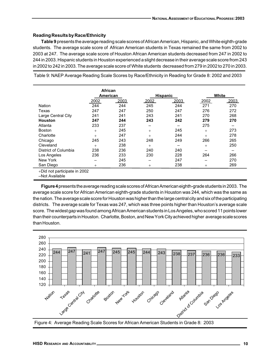### **Reading Results by Race/Ethnicity**

**Table 9** presents the average reading scale scores of African American, Hispanic, and White eighth-grade students. The average scale score of African American students in Texas remained the same from 2002 to 2003 at 247. The average scale score of Houston African American students decreased from 247 in 2002 to 244 in 2003. Hispanic students in Houston experienced a slight decrease in their average scale score from 243 in 2002 to 242 in 2003. The average scale score of White students decreased from 279 in 2002 to 270 in 2003.

Table 9: NAEP Average Reading Scale Scores by Race/Ethnicity in Reading for Grade 8: 2002 and 2003

|                              | African | American |             | <b>Hispanic</b> |        | White |
|------------------------------|---------|----------|-------------|-----------------|--------|-------|
|                              | 2002    | 2003     | <u>2002</u> | 2003            | 2002   | 2003  |
| Nation                       | 244     | 244      | 245         | 244             | 271    | 270   |
| Texas                        | 247     | 247      | 250         | 247             | 276    | 272   |
| Large Central City           | 241     | 241      | 243         | 241             | 270    | 268   |
| <b>Houston</b>               | 247     | 244      | 243         | 242             | 279    | 270   |
| Atlanta                      | 233     | 237      |             |                 | 275    |       |
| <b>Boston</b>                | $^{+}$  | 245      | $^{+}$      | 245             | $^{+}$ | 273   |
| Charlotte                    | $^{+}$  | 247      | $^{+}$      | 244             | $+$    | 278   |
| Chicago                      | 245     | 243      | 248         | 249             | 266    | 265   |
| Cleveland                    | $^{+}$  | 238      | $^{+}$      |                 | $^{+}$ | 250   |
| District of Columbia         | 238     | 236      | 240         | 240             |        |       |
| Los Angeles                  | 236     | 233      | 230         | 228             | 264    | 266   |
| New York                     |         | 245      |             | 247             |        | 270   |
| San Diego                    | $^{+}$  | 236      | $^{+}$      | 238             | $^{+}$ | 269   |
| +Did not participate in 2002 |         |          |             |                 |        |       |

–Not Available

**Figure 4** presents the average reading scale scores of African American eighth-grade students in 2003. The average scale score for African American eighth-grade students in Houston was 244, which was the same as the nation. The average scale score for Houston was higher than the large central city and six of the participating districts. The average scale for Texas was 247, which was three points higher than Houston's average scale score. The widest gap was found among African American students in Los Angeles, who scored 11 points lower than their counterparts in Houston. Charlotte, Boston, and New York City achieved higher average scale scores than Houston.



Figure 4: Average Reading Scale Scores for African American Students in Grade 8: 2003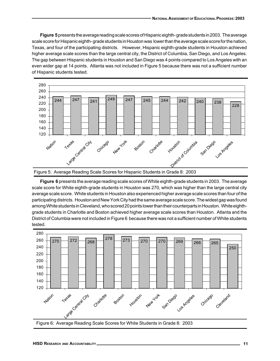**Figure 5** presents the average reading scale scores of Hispanic eighth- grade students in 2003. The average scale score for Hispanic eighth- grade students in Houston was lower than the average scale score for the nation, Texas, and four of the participating districts. However, Hispanic eighth-grade students in Houston achieved higher average scale scores than the large central city, the District of Columbia, San Diego, and Los Angeles. The gap between Hispanic students in Houston and San Diego was 4 points compared to Los Angeles with an even wider gap at 14 points. Atlanta was not included in Figure 5 because there was not a sufficient number of Hispanic students tested.



Figure 5: Average Reading Scale Scores for Hispanic Students in Grade 8: 2003

**Figure 6** presents the average reading scale scores of White eighth-grade students in 2003. The average scale score for White eighth-grade students in Houston was 270, which was higher than the large central city average scale score. White students in Houston also experienced higher average scale scores than four of the participating districts. Houston and New York City had the same average scale score. The widest gap was found among White students in Cleveland, who scored 20 points lower than their counterparts in Houston. White eighthgrade students in Charlotte and Boston achieved higher average scale scores than Houston. Atlanta and the District of Columbia were not included in Figure 6 because there was not a sufficient number of White students tested.



Figure 6: Average Reading Scale Scores for White Students in Grade 8: 2003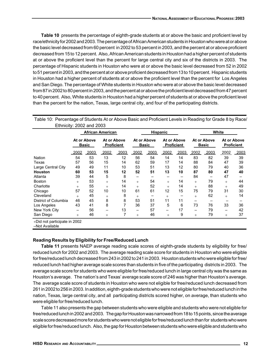**Table 10** presents the percentage of eighth-grade students at or above the basic and proficient level by race/ethnicity for 2002 and 2003. The percentage of African American students in Houston who were at or above the basic level decreased from 60 percent in 2002 to 53 percent in 2003, and the percent at or above proficient decreased from 15 to 12 percent. Also, African American students in Houston had a higher percent of students at or above the proficient level than the percent for large central city and six of the districts in 2003. The percentage of Hispanic students in Houston who were at or above the basic level decreased from 52 in 2002 to 51 percent in 2003, and the percent at or above proficient decreased from 13 to 10 percent. Hispanic students in Houston had a higher percent of students at or above the proficient level than the percent for Los Angeles and San Diego. The percentage of White students in Houston who were at or above the basic level decreased from 87 in 2002 to 80 percent in 2003, and the percent at or above the proficient level decreased from 47 percent to 40 percent. Also, White students in Houston had a higher percent of students at or above the proficient level than the percent for the nation, Texas, large central city, and four of the participating districts.

| LUTTIONY. ZUUZ ANU ZUUJ |        |                             |                                  |      |        |                             |                                  |      |                          |                             |                          |                                  |
|-------------------------|--------|-----------------------------|----------------------------------|------|--------|-----------------------------|----------------------------------|------|--------------------------|-----------------------------|--------------------------|----------------------------------|
|                         |        |                             | <b>African American</b>          |      |        | Hispanic                    |                                  |      |                          |                             | White                    |                                  |
|                         |        | At or Above<br><b>Basic</b> | At or Above<br><b>Proficient</b> |      |        | At or Above<br><b>Basic</b> | At or Above<br><b>Proficient</b> |      |                          | At or Above<br><b>Basic</b> |                          | At or Above<br><b>Proficient</b> |
|                         | 2002   | 2003                        | 2002                             | 2003 | 2002   | 2003                        | 2002                             | 2003 | 2002                     | 2003                        | 2002                     | 2003                             |
| Nation                  | 54     | 53                          | 13                               | 12   | 56     | 54                          | 14                               | 14   | 83                       | 82                          | 39                       | 39                               |
| Texas                   | 57     | 56                          | 15                               | 14   | 62     | 59                          | 17                               | 14   | 88                       | 84                          | 47                       | 39                               |
| Large Central City      | 49     | 49                          | 11                               | 10   | 53     | 51                          | 13                               | 12   | 80                       | 79                          | 40                       | 36                               |
| <b>Houston</b>          | 60     | 53                          | 15                               | 12   | 52     | 51                          | 13                               | 10   | 87                       | 80                          | 47                       | 40                               |
| Atlanta                 | 39     | 44                          | 5                                | 8    | -      |                             | -                                |      | 84                       | $\overline{\phantom{0}}$    | 47                       |                                  |
| <b>Boston</b>           | $^{+}$ | 53                          | $^{+}$                           | 14   | $^{+}$ | 54                          | $^{+}$                           | 14   | $^{+}$                   | 79                          | $^{+}$                   | 44                               |
| Charlotte               | $^{+}$ | 55                          | $^{+}$                           | 14   | $^{+}$ | 52                          | $^{+}$                           | 14   | $^{+}$                   | 88                          | $^{+}$                   | 49                               |
| Chicago                 | 57     | 52                          | 10                               | 10   | 61     | 61                          | 12                               | 15   | 75                       | 79                          | 31                       | 30                               |
| Cleveland               | $^{+}$ | 45                          | $^{+}$                           | 8    | $^{+}$ |                             | $^{+}$                           |      | $^{+}$                   | 62                          | $^{+}$                   | 14                               |
| District of Columbia    | 46     | 45                          | 8                                | 8    | 53     | 51                          | 11                               | 11   |                          |                             |                          |                                  |
| Los Angeles             | 43     | 41                          | 8                                | 7    | 36     | 37                          | 5                                | 6    | 73                       | 76                          | 33                       | 36                               |
| New York City           | —      | 56                          | —                                | 13   | —      | 57                          | $\overline{\phantom{0}}$         | 17   | $\overline{\phantom{0}}$ | 79                          | $\overline{\phantom{0}}$ | 42                               |
| San Diego               | $^{+}$ | 46                          | $^{+}$                           | 7    | $^{+}$ | 46                          | $^{+}$                           | 9    | $^{+}$                   | 79                          | $^{+}$                   | 37                               |

Table 10: Percentage of Students At or Above Basic and Proficient Levels in Reading for Grade 8 by Race/ Ethnicity: 2002 and 2003

+Did not participate in 2002

–Not Available

### **Reading Results by Eligibility for Free/Reduced Lunch**

**Table 11** presents NAEP average reading scale scores of eighth-grade students by eligibility for free/ reduced lunch for 2002 and 2003. The average reading scale score for students in Houston who were eligible for free/reduced lunch decreased from 243 in 2002 to 241 in 2003. Houston students who were eligible for free/ reduced lunch had higher average scale scores than students in five of the participating districts in 2003. The average scale score for students who were eligible for free/reduced lunch in large central city was the same as Houston's average. The nation's and Texas' average scale score of 246 was higher than Houston's average. The average scale score of students in Houston who were not eligible for free/reduced lunch decreased from 261 in 2002 to 256 in 2003. In addition, eighth-grade students who were not eligible for free/reduced lunch in the nation, Texas, large central city, and all participating districts scored higher, on average, than students who were eligible for free/reduced lunch.

Table 11 also presents the gap between students who were eligible and students who were not eligible for free/reduced lunch in 2002 and 2003. The gap for Houston was narrowed from 18 to 15 points, since the average scale score decreased more for students who were not eligible for free/reduced lunch than for students who were eligible for free/reduced lunch. Also, the gap for Houston between students who were eligible and students who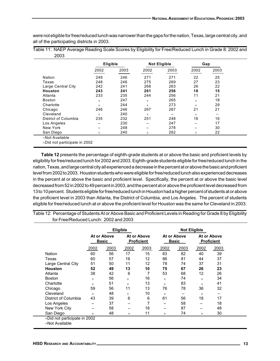were not eligible for free/reduced lunch was narrower than the gaps for the nation, Texas, large central city, and all of the participating districts in 2003.

|      | Table 11: NAEP Average Reading Scale Scores by Eligibility for Free/Reduced Lunch in Grade 8: 2002 and |  |  |
|------|--------------------------------------------------------------------------------------------------------|--|--|
| 2003 |                                                                                                        |  |  |

|                      | <b>Eligible</b> |      |                          | <b>Not Eligible</b> |        | Gap  |
|----------------------|-----------------|------|--------------------------|---------------------|--------|------|
|                      | 2002            | 2003 | 2002                     | 2003                | 2002   | 2003 |
| Nation               | 249             | 246  | 271                      | 271                 | 22     | 25   |
| Texas                | 248             | 246  | 275                      | 269                 | 27     | 23   |
| Large Central City   | 242             | 241  | 268                      | 263                 | 26     | 22   |
| Houston              | 243             | 241  | 261                      | 256                 | 18     | 15   |
| Atlanta              | 233             | 235  | 244                      | 256                 | 11     | 21   |
| <b>Boston</b>        | $^{+}$          | 247  | $^{+}$                   | 265                 | $^{+}$ | 18   |
| Charlotte            | $^{+}$          | 244  | $^{+}$                   | 273                 | $+$    | 29   |
| Chicago              | 246             | 246  | 267                      | 267                 | 21     | 21   |
| Cleveland            | $^{+}$          | 240  | $^{+}$                   |                     | $+$    |      |
| District of Columbia | 235             | 232  | 251                      | 248                 | 16     | 16   |
| Los Angeles          | -               | 230  | -                        | 247                 | -      | 17   |
| New York             | -               | 248  | $\overline{\phantom{0}}$ | 278                 | -      | 30   |
| San Diego            | $^{+}$          | 240  | $^{+}$                   | 262                 | $^{+}$ | 22   |

**Table 12** presents the percentage of eighth-grade students at or above the basic and proficient levels by eligibility for free/reduced lunch for 2002 and 2003. Eighth-grade students eligible for free/reduced lunch in the nation, Texas, and large central city all experienced a decrease in the percent at or above the basic and proficient level from 2002 to 2003. Houston students who were eligible for free/reduced lunch also experienced decreases in the percent at or above the basic and proficient level. Specifically, the percent at or above the basic level decreased from 52 in 2002 to 49 percent in 2003, and the percent at or above the proficient level decreased from 13 to 10 percent. Students eligible for free/reduced lunch in Houston had a higher percent of students at or above the proficient level in 2003 than Atlanta, the District of Columbia, and Los Angeles. The percent of students eligible for free/reduced lunch at or above the proficient level for Houston was the same for Cleveland in 2003.

Table 12: Percentage of Students At or Above Basic and Proficient Levels in Reading for Grade 8 by Eligibility for Free/Reduced Lunch: 2002 and 2003

|                      | <b>Eligible</b>      |      |                                  |      |                      | <b>Not Eligible</b> |                                  |      |
|----------------------|----------------------|------|----------------------------------|------|----------------------|---------------------|----------------------------------|------|
|                      | At or Above<br>Basic |      | At or Above<br><b>Proficient</b> |      | At or Above<br>Basic |                     | At or Above<br><b>Proficient</b> |      |
|                      | 2002                 | 2003 | 2002                             | 2003 | 2002                 | 2003                | 2002                             | 2003 |
| <b>Nation</b>        | 60                   | 56   | 17                               | 15   | 83                   | 82                  | 40                               | 39   |
| Texas                | 60                   | 57   | 16                               | 12   | 86                   | 81                  | 44                               | 37   |
| Large Central City   | 51                   | 50   | 11                               | 12   | 78                   | 74                  | 37                               | 31   |
| <b>Houston</b>       | 52                   | 49   | 13                               | 10   | 75                   | 67                  | 26                               | 23   |
| Atlanta              | 38                   | 42   | 6                                | 7    | 53                   | 68                  | 12                               | 26   |
| <b>Boston</b>        | $^{+}$               | 56   | $^{+}$                           | 16   | $+$                  | 74                  | $+$                              | 34   |
| Charlotte            | $^{+}$               | 51   | $+$                              | 13   | $^{+}$               | 83                  | $+$                              | 41   |
| Chicago              | 59                   | 56   | 11                               | 13   | 76                   | 78                  | 36                               | 32   |
| Cleveland            | $+$                  | 48   | $^{+}$                           | 10   | $+$                  |                     | $+$                              |      |
| District of Columbia | 43                   | 39   | 6                                | 6    | 61                   | 56                  | 18                               | 17   |
| Los Angeles          |                      | 37   |                                  | 7    |                      | 58                  |                                  | 18   |
| New York City        |                      | 58   |                                  | 18   |                      | 87                  |                                  | 48   |
| San Diego            | $^{+}$               | 48   | $+$                              | 11   | $^{+}$               | 74                  | $^{+}$                           | 30   |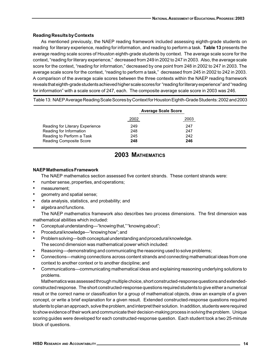### **Reading Results by Contexts**

As mentioned previously, the NAEP reading framework included assessing eighth-grade students on reading for literary experience, reading for information, and reading to perform a task. **Table 13** presents the average reading scale scores of Houston eighth-grade students by context. The average scale score for the context, "reading for literary experience," decreased from 249 in 2002 to 247 in 2003. Also, the average scale score for the context, "reading for information," decreased by one point from 248 in 2002 to 247 in 2003. The average scale score for the context, "reading to perform a task," decreased from 245 in 2002 to 242 in 2003. A comparison of the average scale scores between the three contexts within the NAEP reading framework reveals that eighth-grade students achieved higher scale scores for "reading for literary experience" and "reading for information" with a scale score of 247, each. The composite average scale score in 2003 was 246.

Table 13: NAEP Average Reading Scale Scores by Context for Houston Eighth-Grade Students: 2002 and 2003

|                                 |      | <b>Average Scale Score</b> |
|---------------------------------|------|----------------------------|
|                                 | 2002 | 2003                       |
| Reading for Literary Experience | 249  | 247                        |
| Reading for Information         | 248  | 247                        |
| Reading to Perform a Task       | 245  | 242                        |
| <b>Reading Composite Score</b>  | 248  | 246                        |

## **2003 MATHEMATICS**

### **NAEP Mathematics Framework**

The NAEP mathematics section assessed five content strands. These content strands were:

- number sense, properties, and operations;
- measurement;
- geometry and spatial sense;
- data analysis, statistics, and probability; and
- algebra and functions.

The NAEP mathematics framework also describes two process dimensions. The first dimension was mathematical abilities which included:

- Conceptual understanding—"knowing that," "knowing about";
- Procedural knowledge—"knowing how"; and
- Problem solving—both conceptual understanding and procedural knowledge. The second dimension was mathematical power which included:
- Reasoning—demonstrating and communicating the reasoning used to solve problems;
- Connections—making connections across content strands and connecting mathematical ideas from one context to another context or to another discipline; and
- Communications—communicating mathematical ideas and explaining reasoning underlying solutions to problems.

Mathematics was assessed through multiple choice, short constructed-response questions and extendedconstructed response. The short constructed-response questions required students to give either a numerical result or the correct name or classification for a group of mathematical objects, draw an example of a given concept, or write a brief explanation for a given result. Extended constructed-response questions required students to plan an approach, solve the problem, and interpret their solution. In addition, students were required to show evidence of their work and communicate their decision-making process in solving the problem. Unique scoring guides were developed for each constructed-response question. Each student took a two 25-minute block of questions.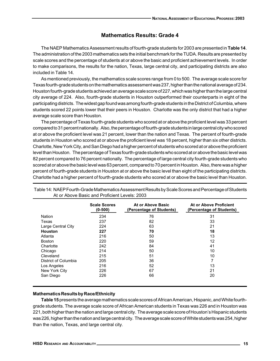### **Mathematics Results: Grade 4**

The NAEP Mathematics Assessment results of fourth-grade students for 2003 are presented in **Table 14**. The administration of the 2003 mathematics sets the initial benchmark for the TUDA. Results are presented by scale scores and the percentage of students at or above the basic and proficient achievement levels. In order to make comparisons, the results for the nation, Texas, large central city, and participating districts are also included in Table 14.

As mentioned previously, the mathematics scale scores range from 0 to 500. The average scale score for Texas fourth-grade students on the mathematics assessment was 237, higher than the national average of 234. Houston fourth-grade students achieved an average scale score of 227, which was higher than the large central city average of 224. Also, fourth-grade students in Houston outperformed their counterparts in eight of the participating districts. The widest gap found was among fourth-grade students in the District of Columbia, where students scored 22 points lower that their peers in Houston. Charlotte was the only district that had a higher average scale score than Houston.

The percentage of Texas fourth-grade students who scored at or above the proficient level was 33 percent compared to 31 percent nationally. Also, the percentage of fourth-grade students in large central city who scored at or above the proficient level was 21 percent, lower than the nation and Texas. The percent of fourth-grade students in Houston who scored at or above the proficient level was 18 percent, higher than six other districts. Charlotte, New York City, and San Diego had a higher percent of students who scored at or above the proficient level than Houston. The percentage of Texas fourth-grade students who scored at or above the basic level was 82 percent compared to 76 percent nationally. The percentage of large central city fourth-grade students who scored at or above the basic level was 63 percent, compared to 70 percent in Houston. Also, there was a higher percent of fourth-grade students in Houston at or above the basic level than eight of the participating districts. Charlotte had a higher percent of fourth-grade students who scored at or above the basic level than Houston.

|                      | <b>Scale Scores</b><br>$(0-500)$ | At or Above Basic<br>(Percentage of Students) | At or Above Proficient<br>(Percentage of Students) |
|----------------------|----------------------------------|-----------------------------------------------|----------------------------------------------------|
| <b>Nation</b>        | 234                              | 76                                            | 31                                                 |
| Texas                | 237                              | 82                                            | 33                                                 |
| Large Central City   | 224                              | 63                                            | 21                                                 |
| Houston              | 227                              | 70                                            | 18                                                 |
| Atlanta              | 216                              | 50                                            | 13                                                 |
| <b>Boston</b>        | 220                              | 59                                            | 12                                                 |
| Charlotte            | 242                              | 84                                            | 41                                                 |
| Chicago              | 214                              | 50                                            | 10                                                 |
| Cleveland            | 215                              | 51                                            | 10                                                 |
| District of Columbia | 205                              | 36                                            | 7                                                  |
| Los Angeles          | 216                              | 52                                            | 13                                                 |
| New York City        | 226                              | 67                                            | 21                                                 |
| San Diego            | 226                              | 66                                            | 20                                                 |

Table 14: NAEP Fourth-Grade Mathematics Assessment Results by Scale Scores and Percentage of Students At or Above Basic and Proficient Levels: 2003

### **Mathematics Results by Race/Ethnicity**

**Table 15** presents the average mathematics scale scores of African American, Hispanic, and White fourthgrade students. The average scale score of African American students in Texas was 226 and in Houston was 221, both higher than the nation and large central city. The average scale score of Houston's Hispanic students was 226, higher than the nation and large central city. The average scale score of White students was 254, higher than the nation, Texas, and large central city.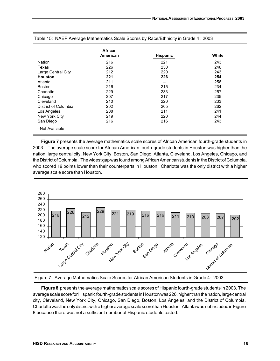|                      | African<br>American | <b>Hispanic</b> | White |
|----------------------|---------------------|-----------------|-------|
| <b>Nation</b>        | 216                 | 221             | 243   |
| Texas                | 226                 | 230             | 248   |
| Large Central City   | 212                 | 220             | 243   |
| <b>Houston</b>       | 221                 | 226             | 254   |
| Atlanta              | 211                 | -               | 258   |
| <b>Boston</b>        | 216                 | 215             | 234   |
| Charlotte            | 229                 | 233             | 257   |
| Chicago              | 207                 | 217             | 235   |
| Cleveland            | 210                 | 220             | 233   |
| District of Columbia | 202                 | 205             | 262   |
| Los Angeles          | 208                 | 211             | 241   |
| New York City        | 219                 | 220             | 244   |
| San Diego            | 216                 | 216             | 243   |
| -Not Available       |                     |                 |       |

Table 15: NAEP Average Mathematics Scale Scores by Race/Ethnicity in Grade 4 : 2003

**Figure 7** presents the average mathematics scale scores of African American fourth-grade students in 2003. The average scale score for African American fourth-grade students in Houston was higher than the nation, large central city, New York City, Boston, San Diego, Atlanta, Cleveland, Los Angeles, Chicago, and the District of Columbia. The widest gap was found among African American students in the District of Columbia, who scored 19 points lower than their counterparts in Houston. Charlotte was the only district with a higher average scale score than Houston.





**Figure 8** presents the average mathematics scale scores of Hispanic fourth-grade students in 2003. The average scale score for Hispanic fourth-grade students in Houston was 226, higher than the nation, large central city, Cleveland, New York City, Chicago, San Diego, Boston, Los Angeles, and the District of Columbia. Charlotte was the only district with a higher average scale score than Houston. Atlanta was not included in Figure 8 because there was not a sufficient number of Hispanic students tested.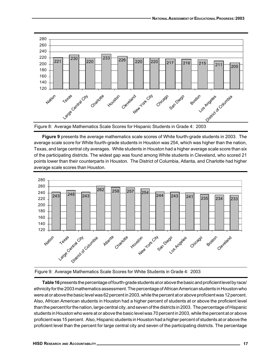

Figure 8: Average Mathematics Scale Scores for Hispanic Students in Grade 4: 2003

**Figure 9** presents the average mathematics scale scores of White fourth-grade students in 2003. The average scale score for White fourth-grade students in Houston was 254, which was higher than the nation, Texas, and large central city averages. White students in Houston had a higher average scale score than six of the participating districts. The widest gap was found among White students in Cleveland, who scored 21 points lower than their counterparts in Houston. The District of Columbia, Atlanta, and Charlotte had higher average scale scores than Houston.



Figure 9: Average Mathematics Scale Scores for White Students in Grade 4: 2003

**Table 16** presents the percentage of fourth-grade students at or above the basic and proficient level by race/ ethnicity for the 2003 mathematics assessment. The percentage of African American students in Houston who were at or above the basic level was 62 percent in 2003, while the percent at or above proficient was 12 percent. Also, African American students in Houston had a higher percent of students at or above the proficient level than the percent for the nation, large central city, and seven of the districts in 2003. The percentage of Hispanic students in Houston who were at or above the basic level was 70 percent in 2003, while the percent at or above proficient was 15 percent. Also, Hispanic students in Houston had a higher percent of students at or above the proficient level than the percent for large central city and seven of the participating districts. The percentage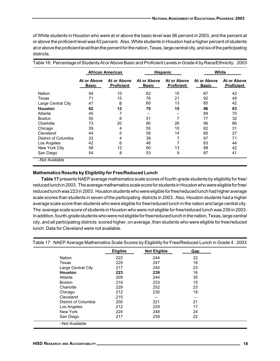of White students in Houston who were at or above the basic level was 96 percent in 2003, and the percent at or above the proficient level was 63 percent. Also, White students in Houston had a higher percent of students at or above the proficient level than the percent for the nation, Texas, large central city, and six of the participating districts.

|                      | <b>African American</b>     |                                  |                             | <b>Hispanic</b>                  |                             | White                            |
|----------------------|-----------------------------|----------------------------------|-----------------------------|----------------------------------|-----------------------------|----------------------------------|
|                      | At or Above<br><b>Basic</b> | At or Above<br><b>Proficient</b> | At or Above<br><b>Basic</b> | At or Above<br><b>Proficient</b> | At or Above<br><b>Basic</b> | At or Above<br><b>Proficient</b> |
| <b>Nation</b>        | 54                          | 10                               | 62                          | 15                               | 87                          | 42                               |
| Texas                | 71                          | 15                               | 76                          | 21                               | 92                          | 49                               |
| Large Central City   | 47                          | 8                                | 60                          | 13                               | 85                          | 42                               |
| <b>Houston</b>       | 62                          | 12                               | 70                          | 15                               | 96                          | 63                               |
| Atlanta              | 45                          |                                  |                             |                                  | 89                          | 70                               |
| <b>Boston</b>        | 55                          | 6                                | 51                          | 7                                | 77                          | 32                               |
| Charlotte            | 73                          | 20                               | 80                          | 26                               | 96                          | 66                               |
| Chicago              | 39                          | 4                                | 55                          | 10                               | 82                          | 31                               |
| Cleveland            | 44                          | 5                                | 58                          | 14                               | 80                          | 27                               |
| District of Columbia | 33                          | 4                                | 39                          | 7                                | 97                          | 71                               |
| Los Angeles          | 42                          | 6                                | 46                          | 7                                | 83                          | 44                               |
| New York City        | 58                          | 12                               | 60                          | 13                               | 88                          | 42                               |
| San Diego            | 54                          | 8                                | 53                          | 9                                | 87                          | 41                               |
| -Not Available       |                             |                                  |                             |                                  |                             |                                  |

Table 16: Percentage of Students At or Above Basic and Proficient Levels in Grade 4 by Race/Ethnicity: 2003

### **Mathematics Results by Eligibility for Free/Reduced Lunch**

**Table 17** presents NAEP average mathematics scale scores of fourth-grade students by eligibility for free/ reduced lunch in 2003. The average mathematics scale score for students in Houston who were eligible for free/ reduced lunch was 223 in 2003. Houston students who were eligible for free/reduced lunch had higher average scale scores than students in seven of the participating districts in 2003. Also, Houston students had a higher average scale score than students who were eligible for free/reduced lunch in the nation and large central city. The average scale score of students in Houston who were not eligible for free/reduced lunch was 239 in 2003. In addition, fourth-grade students who were not eligible for free/reduced lunch in the nation, Texas, large central city, and all participating districts scored higher, on average, than students who were eligible for free/reduced lunch. Data for Cleveland were not available.

|                      | Eligible | Not Eligible | Gap |  |
|----------------------|----------|--------------|-----|--|
| <b>Nation</b>        | 222      | 244          | 22  |  |
| Texas                | 229      | 247          | 18  |  |
| Large Central City   | 217      | 240          | 23  |  |
| <b>Houston</b>       | 223      | 239          | 16  |  |
| Atlanta              | 209      | 244          | 35  |  |
| <b>Boston</b>        | 218      | 233          | 15  |  |
| Charlotte            | 229      | 252          | 23  |  |
| Chicago              | 212      | 230          | 18  |  |
| Cleveland            | 215      |              |     |  |
| District of Columbia | 200      | 221          | 21  |  |
| Los Angeles          | 212      | 229          | 17  |  |
| New York             | 224      | 248          | 24  |  |
| San Diego            | 217      | 239          | 22  |  |

Table 17: NAEP Average Mathematics Scale Scores by Eligibility for Free/Reduced Lunch in Grade 4 : 2003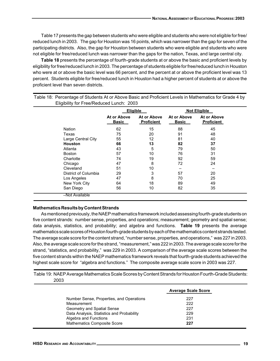Table 17 presents the gap between students who were eligible and students who were not eligible for free/ reduced lunch in 2003. The gap for Houston was 16 points, which was narrower than the gap for seven of the participating districts. Also, the gap for Houston between students who were eligible and students who were not eligible for free/reduced lunch was narrower than the gaps for the nation, Texas, and large central city.

**Table 18** presents the percentage of fourth-grade students at or above the basic and proficient levels by eligibility for free/reduced lunch in 2003. The percentage of students eligible for free/reduced lunch in Houston who were at or above the basic level was 66 percent, and the percent at or above the proficient level was 13 percent. Students eligible for free/reduced lunch in Houston had a higher percent of students at or above the proficient level than seven districts.

|                      | Eligible                    |                                  |                             | <b>Not Eligible</b>              |
|----------------------|-----------------------------|----------------------------------|-----------------------------|----------------------------------|
|                      | At or Above<br><b>Basic</b> | At or Above<br><b>Proficient</b> | At or Above<br><b>Basic</b> | At or Above<br><b>Proficient</b> |
| <b>Nation</b>        | 62                          | 15                               | 88                          | 45                               |
| Texas                | 75                          | 20                               | 91                          | 48                               |
| Large Central City   | 55                          | 12                               | 81                          | 40                               |
| <b>Houston</b>       | 66                          | 13                               | 82                          | 37                               |
| Atlanta              | 43                          | 5                                | 79                          | 50                               |
| <b>Boston</b>        | 57                          | 10                               | 76                          | 31                               |
| Charlotte            | 74                          | 19                               | 92                          | 59                               |
| Chicago              | 47                          | 8                                | 72                          | 24                               |
| Cleveland            | 51                          | 10                               |                             |                                  |
| District of Columbia | 29                          | 3                                | 57                          | 20                               |
| Los Angeles          | 47                          | 8                                | 70                          | 25                               |
| New York City        | 64                          | 18                               | 89                          | 49                               |
| San Diego            | 56                          | 10                               | 82                          | 35                               |

Table 18: Percentage of Students At or Above Basic and Proficient Levels in Mathematics for Grade 4 by Eligibility for Free/Reduced Lunch: 2003

### **Mathematics Results by Content Strands**

As mentioned previously, the NAEP mathematics framework included assessing fourth-grade students on five content strands: number sense, properties, and operations; measurement; geometry and spatial sense; data analysis, statistics, and probability; and algebra and functions. **Table 19** presents the average mathematics scale scores of Houston fourth-grade students by each of the mathematics content strands tested. The average scale score for the content strand, "number sense, properties, and operations," was 227 in 2003. Also, the average scale score for the strand, "measurement," was 222 in 2003. The average scale score for the strand, "statistics, and probability," was 229 in 2003. A comparison of the average scale scores between the five content strands within the NAEP mathematics framework reveals that fourth-grade students achieved the highest scale score for "algebra and functions." The composite average scale score in 2003 was 227.

Table 19: NAEP Average Mathematics Scale Scores by Content Strands for Houston Fourth-Grade Students: 2003

|                                           | <b>Average Scale Score</b> |
|-------------------------------------------|----------------------------|
| Number Sense, Properties, and Operations  | 227                        |
| Measurement                               | 222                        |
| Geometry and Spatial Sense                | 227                        |
| Data Analysis, Statistics and Probability | 229                        |
| Algebra and Functions                     | 231                        |
| <b>Mathematics Composite Score</b>        | 227                        |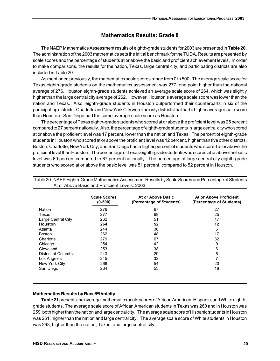### **Mathematics Results: Grade 8**

The NAEP Mathematics Assessment results of eighth-grade students for 2003 are presented in **Table 20**. The administration of the 2003 mathematics sets the initial benchmark for the TUDA. Results are presented by scale scores and the percentage of students at or above the basic and proficient achievement levels. In order to make comparisons, the results for the nation, Texas, large central city, and participating districts are also included in Table 20.

As mentioned previously, the mathematics scale scores range from 0 to 500. The average scale score for Texas eighth-grade students on the mathematics assessment was 277, one point higher than the national average of 276. Houston eighth-grade students achieved an average scale score of 264, which was slightly higher than the large central city average of 262. However, Houston's average scale score was lower than the nation and Texas. Also, eighth-grade students in Houston outperformed their counterparts in six of the participating districts. Charlotte and New York City were the only districts that had a higher average scale score than Houston. San Diego had the same average scale score as Houston.

The percentage of Texas eighth-grade students who scored at or above the proficient level was 25 percent compared to 27 percent nationally. Also, the percentage of eighth-grade students in large central city who scored at or above the proficient level was 17 percent, lower than the nation and Texas. The percent of eighth-grade students in Houston who scored at or above the proficient level was 12 percent, higher than five other districts. Boston, Charlotte, New York City, and San Diego had a higher percent of students who scored at or above the proficient level than Houston. The percentage of Texas eighth-grade students who scored at or above the basic level was 69 percent compared to 67 percent nationally. The percentage of large central city eighth-grade students who scored at or above the basic level was 51 percent, compared to 52 percent in Houston.

|                      | <b>Scale Scores</b><br>$(0-500)$ | At or Above Basic<br>(Percentage of Students) | At or Above Proficient<br>(Percentage of Students) |
|----------------------|----------------------------------|-----------------------------------------------|----------------------------------------------------|
| <b>Nation</b>        | 276                              | 67                                            | 27                                                 |
| Texas                | 277                              | 69                                            | 25                                                 |
| Large Central City   | 262                              | 51                                            | 17                                                 |
| <b>Houston</b>       | 264                              | 52                                            | 12                                                 |
| Atlanta              | 244                              | 30                                            | 6                                                  |
| <b>Boston</b>        | 262                              | 48                                            | 17                                                 |
| Charlotte            | 279                              | 67                                            | 32                                                 |
| Chicago              | 254                              | 42                                            | 9                                                  |
| Cleveland            | 253                              | 38                                            | 6                                                  |
| District of Columbia | 243                              | 29                                            | 6                                                  |
| Los Angeles          | 245                              | 32                                            | 7                                                  |
| New York City        | 266                              | 54                                            | 20                                                 |
| San Diego            | 264                              | 53                                            | 18                                                 |

Table 20: NAEP Eighth-Grade Mathematics Assessment Results by Scale Scores and Percentage of Students At or Above Basic and Proficient Levels: 2003

### **Mathematics Results by Race/Ethnicity**

**Table 21** presents the average mathematics scale scores of African American, Hispanic, and White eighthgrade students. The average scale score of African American students in Texas was 260 and in Houston was 259, both higher than the nation and large central city. The average scale score of Hispanic students in Houston was 261, higher than the nation and large central city. The average scale score of White students in Houston was 293, higher than the nation, Texas, and large central city.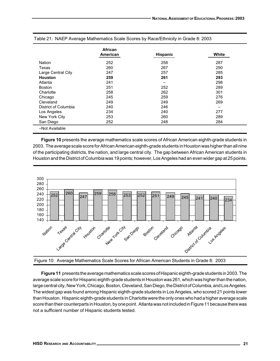| American<br>252<br>260 | <b>Hispanic</b><br>258 | White<br>287 |
|------------------------|------------------------|--------------|
|                        |                        |              |
|                        |                        |              |
|                        | 267                    | 290          |
| 247                    | 257                    | 285          |
| 259                    | 261                    | 293          |
| 241                    |                        | 298          |
| 251                    | 252                    | 289          |
| 258                    | 262                    | 301          |
| 245                    | 259                    | 276          |
| 249                    | 249                    | 269          |
| 240                    | 246                    | -            |
| 234                    | 240                    | 277          |
| 253                    | 260                    | 289          |
| 252                    | 248                    | 284          |
|                        |                        |              |

#### Table 21: NAEP Average Mathematics Scale Scores by Race/Ethnicity in Grade 8: 2003

**Figure 10** presents the average mathematics scale scores of African American eighth-grade students in 2003. The average scale score for African American eighth-grade students in Houston was higher than all nine of the participating districts, the nation, and large central city. The gap between African American students in Houston and the District of Columbia was 19 points; however, Los Angeles had an even wider gap at 25 points.



Figure 10: Average Mathematics Scale Scores for African American Students in Grade 8: 2003

**Figure 11** presents the average mathematics scale scores of Hispanic eighth-grade students in 2003. The average scale score for Hispanic eighth-grade students in Houston was 261, which was higher than the nation, large central city, New York, Chicago, Boston, Cleveland, San Diego, the District of Columbia, and Los Angeles. The widest gap was found among Hispanic eighth-grade students in Los Angeles, who scored 21 points lower than Houston. Hispanic eighth-grade students in Charlotte were the only ones who had a higher average scale score than their counterparts in Houston, by one point. Atlanta was not included in Figure 11 because there was not a sufficient number of Hispanic students tested.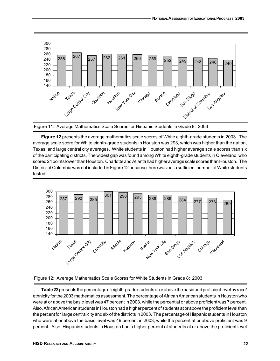

Figure 11: Average Mathematics Scale Scores for Hispanic Students in Grade 8: 2003

**Figure 12** presents the average mathematics scale scores of White eighth-grade students in 2003. The average scale score for White eighth-grade students in Houston was 293, which was higher than the nation, Texas, and large central city averages. White students in Houston had higher average scale scores than six of the participating districts. The widest gap was found among White eighth-grade students in Cleveland, who scored 24 points lower than Houston. Charlotte and Atlanta had higher average scale scores than Houston. The District of Columbia was not included in Figure 12 because there was not a sufficient number of White students tested.



Figure 12: Average Mathematics Scale Scores for White Students in Grade 8: 2003

**Table 22** presents the percentage of eighth-grade students at or above the basic and proficient level by race/ ethnicity for the 2003 mathematics assessment. The percentage of African American students in Houston who were at or above the basic level was 47 percent in 2003, while the percent at or above proficient was 7 percent. Also, African American students in Houston had a higher percent of students at or above the proficient level than the percent for large central city and six of the districts in 2003. The percentage of Hispanic students in Houston who were at or above the basic level was 49 percent in 2003, while the percent at or above proficient was 9 percent. Also, Hispanic students in Houston had a higher percent of students at or above the proficient level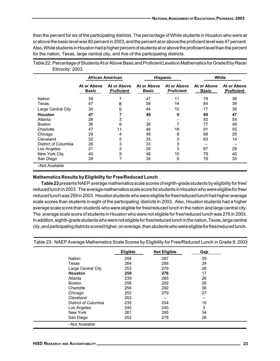than the percent for six of the participating districts. The percentage of White students in Houston who were at or above the basic level was 80 percent in 2003, and the percent at or above the proficient level was 47 percent. Also, White students in Houston had a higher percent of students at or above the proficient level than the percent for the nation, Texas, large central city, and five of the participating districts.

|                      | <b>African American</b>     |                                  |                             | <b>Hispanic</b>                  |                             | White                            |  |
|----------------------|-----------------------------|----------------------------------|-----------------------------|----------------------------------|-----------------------------|----------------------------------|--|
|                      | At or Above<br><b>Basic</b> | At or Above<br><b>Proficient</b> | At or Above<br><b>Basic</b> | At or Above<br><b>Proficient</b> | At or Above<br><b>Basic</b> | At or Above<br><b>Proficient</b> |  |
| <b>Nation</b>        | 39                          | 7                                | 47                          | 11                               | 79                          | 36                               |  |
| Texas                | 47                          | 8                                | 58                          | 14                               | 84                          | 38                               |  |
| Large Central City   | 34                          | 5                                | 44                          | 10                               | 77                          | 36                               |  |
| <b>Houston</b>       | 47                          |                                  | 49                          | 9                                | 80                          | 47                               |  |
| Atlanta              | 26                          | 3                                |                             |                                  | 83                          | 54                               |  |
| <b>Boston</b>        | 36                          | 6                                | 38                          |                                  | 77                          | 48                               |  |
| Charlotte            | 47                          | 11                               | 46                          | 18                               | 91                          | 55                               |  |
| Chicago              | 29                          | 4                                | 48                          | 8                                | 68                          | 25                               |  |
| Cleveland            | 32                          | 5                                | 35                          | 2                                | 63                          | 14                               |  |
| District of Columbia | 26                          | 3                                | 33                          | 3                                |                             |                                  |  |
| Los Angeles          | 21                          | 2                                | 26                          | 3                                | 67                          | 29                               |  |
| New York City        | 40                          | 9                                | 48                          | 15                               | 79                          | 40                               |  |
| San Diego            | 39                          | 7                                | 34                          | 6                                | 76                          | 35                               |  |

Table 22: Percentage of Students At or Above Basic and Proficient Levels in Mathematics for Grade 8 by Race/ Ethnicity: 2003

### **Mathematics Results by Eligibility for Free/Reduced Lunch**

**Table 23** presents NAEP average mathematics scale scores of eighth-grade students by eligibility for free/ reduced lunch in 2003. The average mathematics scale score for students in Houston who were eligible for free/ reduced lunch was 259 in 2003. Houston students who were eligible for free/reduced lunch had higher average scale scores than students in eight of the participating districts in 2003. Also, Houston students had a higher average scale score than students who were eligible for free/reduced lunch in the nation and large central city. The average scale score of students in Houston who were not eligible for free/reduced lunch was 276 in 2003. In addition, eighth-grade students who were not eligible for free/reduced lunch in the nation, Texas, large central city, and participating districts scored higher, on average, than students who were eligible for free/reduced lunch.

| Table 23: NAEP Average Mathematics Scale Scores by Eligibility for Free/Reduced Lunch in Grade 8: 2003 |  |
|--------------------------------------------------------------------------------------------------------|--|
|                                                                                                        |  |

|                      | <b>Eligible</b> | <b>Not Eligible</b> | Gap |
|----------------------|-----------------|---------------------|-----|
| <b>Nation</b>        | 258             | 287                 | 29  |
| Texas                | 264             | 288                 | 24  |
| Large Central City   | 253             | 279                 | 26  |
| <b>Houston</b>       | 259             | 276                 | 17  |
| Atlanta              | 239             | 265                 | 26  |
| Boston               | 256             | 282                 | 26  |
| Charlotte            | 256             | 292                 | 36  |
| Chicago              | 252             | 279                 | 27  |
| Cleveland            | 253             |                     |     |
| District of Columbia | 235             | 254                 | 19  |
| Los Angeles          | 240             | 245                 | 5   |
| New York             | 261             | 295                 | 34  |
| San Diego            | 252             | 278                 | 26  |
| -Not Available       |                 |                     |     |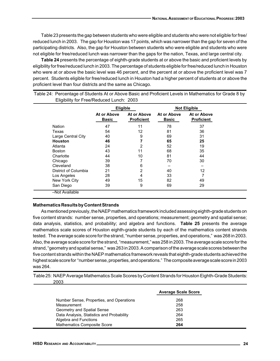Table 23 presents the gap between students who were eligible and students who were not eligible for free/ reduced lunch in 2003. The gap for Houston was 17 points, which was narrower than the gap for seven of the participating districts. Also, the gap for Houston between students who were eligible and students who were not eligible for free/reduced lunch was narrower than the gaps for the nation, Texas, and large central city.

**Table 24** presents the percentage of eighth-grade students at or above the basic and proficient levels by eligibility for free/reduced lunch in 2003. The percentage of students eligible for free/reduced lunch in Houston who were at or above the basic level was 46 percent, and the percent at or above the proficient level was 7 percent. Students eligible for free/reduced lunch in Houston had a higher percent of students at or above the proficient level than four districts and the same as Chicago.

|                      | <b>Eligible</b>             |                                  |                             | <b>Not Eligible</b>              |
|----------------------|-----------------------------|----------------------------------|-----------------------------|----------------------------------|
|                      | At or Above<br><b>Basic</b> | At or Above<br><b>Proficient</b> | At or Above<br><b>Basic</b> | At or Above<br><b>Proficient</b> |
| Nation               | 47                          | 11                               | 78                          | 37                               |
| Texas                | 54                          | 12                               | 81                          | 36                               |
| Large Central City   | 40                          | 9                                | 69                          | 31                               |
| <b>Houston</b>       | 46                          |                                  | 65                          | 25                               |
| Atlanta              | 24                          | $\overline{2}$                   | 52                          | 19                               |
| <b>Boston</b>        | 43                          | 11                               | 68                          | 35                               |
| Charlotte            | 44                          | 10                               | 81                          | 44                               |
| Chicago              | 39                          |                                  | 70                          | 30                               |
| Cleveland            | 38                          | 6                                |                             |                                  |
| District of Columbia | 21                          | $\overline{2}$                   | 40                          | 12                               |
| Los Angeles          | 28                          | 4                                | 33                          | 7                                |
| New York City        | 49                          | 15                               | 82                          | 49                               |
| San Diego            | 39                          | 9                                | 69                          | 29                               |

Table 24: Percentage of Students At or Above Basic and Proficient Levels in Mathematics for Grade 8 by Eligibility for Free/Reduced Lunch: 2003

### **Mathematics Results by Content Strands**

As mentioned previously, the NAEP mathematics framework included assessing eighth-grade students on five content strands: number sense, properties, and operations; measurement; geometry and spatial sense; data analysis, statistics, and probability; and algebra and functions. **Table 25** presents the average mathematics scale scores of Houston eighth-grade students by each of the mathematics content strands tested. The average scale score for the strand, "number sense, properties, and operations," was 268 in 2003. Also, the average scale score for the strand, "measurement," was 258 in 2003. The average scale score for the strand, "geometry and spatial sense," was 263 in 2003. A comparison of the average scale scores between the five content strands within the NAEP mathematics framework reveals that eighth-grade students achieved the highest scale score for "number sense, properties, and operations." The composite average scale score in 2003 was 264.

Table 25: NAEP Average Mathematics Scale Scores by Content Strands for Houston Eighth-Grade Students: 2003

|                                           | <b>Average Scale Score</b> |
|-------------------------------------------|----------------------------|
| Number Sense, Properties, and Operations  | 268                        |
| Measurement                               | 258                        |
| Geometry and Spatial Sense                | 263                        |
| Data Analysis, Statistics and Probability | 264                        |
| Algebra and Functions                     | 265                        |
| <b>Mathematics Composite Score</b>        | 264                        |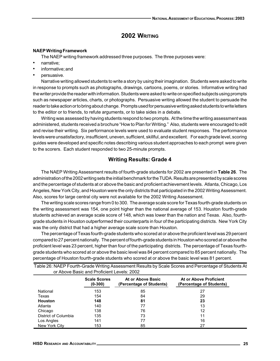## **2002 WRITING**

#### **NAEP Writing Framework**

The NAEP writing framework addressed three purposes. The three purposes were:

- narrative;
- informative; and
- persuasive.

Narrative writing allowed students to write a story by using their imagination. Students were asked to write in response to prompts such as photographs, drawings, cartoons, poems, or stories. Informative writing had the writer provide the reader with information. Students were asked to write on specified subjects using prompts such as newspaper articles, charts, or photographs. Persuasive writing allowed the student to persuade the reader to take action or to bring about change. Prompts used for persuasive writing asked students to write letters to the editor or to friends, to refute arguments, or to take sides in a debate.

Writing was assessed by having students respond to two prompts. At the time the writing assessment was administered, students received a brochure "How to Plan for Writing." Also, students were encouraged to edit and revise their writing. Six performance levels were used to evaluate student responses. The performance levels were unsatisfactory, insufficient, uneven, sufficient, skillful, and excellent. For each grade level, scoring guides were developed and specific notes describing various student approaches to each prompt were given to the scorers. Each student responded to two 25-minute prompts.

### **Writing Results: Grade 4**

The NAEP Writing Assessment results of fourth-grade students for 2002 are presented in **Table 26**. The administration of the 2002 writing sets the initial benchmark for the TUDA. Results are presented by scale scores and the percentage of students at or above the basic and proficient achievement levels. Atlanta, Chicago, Los Angeles, New York City, and Houston were the only districts that participated in the 2002 Writing Assessment. Also, scores for large central city were not available for the 2002 Writing Assessment.

The writing scale scores range from 0 to 300. The average scale score for Texas fourth-grade students on the writing assessment was 154, one point higher than the national average of 153. Houston fourth-grade students achieved an average scale score of 148, which was lower than the nation and Texas. Also, fourthgrade students in Houston outperformed their counterparts in four of the participating districts. New York City was the only district that had a higher average scale score than Houston.

The percentage of Texas fourth-grade students who scored at or above the proficient level was 29 percent compared to 27 percent nationally. The percent of fourth-grade students in Houston who scored at or above the proficient level was 23 percent, higher than four of the participating districts. The percentage of Texas fourthgrade students who scored at or above the basic level was 84 percent compared to 85 percent nationally. The percentage of Houston fourth-grade students who scored at or above the basic level was 81 percent.

|                      | or Above Basic and Proficient Levels: 2002 |                                               |                                                    |
|----------------------|--------------------------------------------|-----------------------------------------------|----------------------------------------------------|
|                      | <b>Scale Scores</b><br>$(0-300)$           | At or Above Basic<br>(Percentage of Students) | At or Above Proficient<br>(Percentage of Students) |
| National             | 153                                        | 85                                            | 27                                                 |
| Texas                | 154                                        | 84                                            | 29                                                 |
| <b>Houston</b>       | 148                                        | 81                                            | 23                                                 |
| Atlanta              | 140                                        | 77                                            | 13                                                 |
| Chicago              | 138                                        | 76                                            | 12                                                 |
| District of Columbia | 135                                        | 73                                            | 11                                                 |
| Los Angles           | 141                                        | 77                                            | 16                                                 |
| New York City        | 153                                        | 85                                            | 27                                                 |

Table 26: NAEP Fourth-Grade Writing Assessment Results by Scale Scores and Percentage of Students At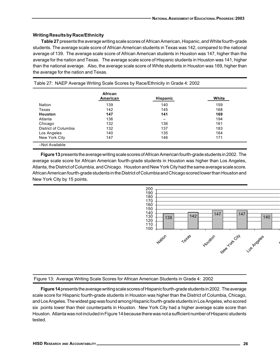### **Writing Results by Race/Ethnicity**

**Table 27** presents the average writing scale scores of African American, Hispanic, and White fourth-grade students. The average scale score of African American students in Texas was 142, compared to the national average of 139. The average scale score of African American students in Houston was 147, higher than the average for the nation and Texas. The average scale score of Hispanic students in Houston was 141, higher than the national average. Also, the average scale score of White students in Houston was 169, higher than the average for the nation and Texas.

|                      | African<br>American | <b>Hispanic</b> | White |
|----------------------|---------------------|-----------------|-------|
| Nation               | 139                 | 140             | 159   |
| Texas                | 142                 | 145             | 168   |
| Houston              | 147                 | 141             | 169   |
| Atlanta              | 136                 |                 | 194   |
| Chicago              | 132                 | 136             | 161   |
| District of Columbia | 132                 | 137             | 183   |
| Los Angeles          | 140                 | 135             | 164   |
| New York City        | 147                 | 146             | 171   |

**Figure 13** presents the average writing scale scores of African American fourth-grade students in 2002. The average scale score for African American fourth-grade students in Houston was higher than Los Angeles, Atlanta, the District of Columbia, and Chicago. Houston and New York City had the same average scale score. African American fourth-grade students in the District of Columbia and Chicago scored lower than Houston and New York City by 15 points.



### Figure 13: Average Writing Scale Scores for African American Students in Grade 4: 2002

**Figure 14** presents the average writing scale scores of Hispanic fourth-grade students in 2002. The average scale score for Hispanic fourth-grade students in Houston was higher than the District of Columbia, Chicago, and Los Angeles. The widest gap was found among Hispanic fourth-grade students in Los Angeles, who scored six points lower than their counterparts in Houston. New York City had a higher average scale score than Houston. Atlanta was not included in Figure 14 because there was not a sufficient number of Hispanic students tested.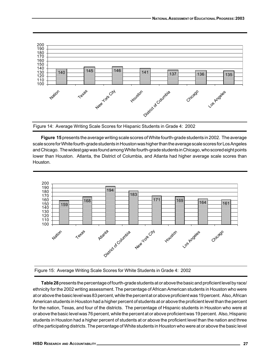

Figure 14: Average Writing Scale Scores for Hispanic Students in Grade 4: 2002

**Figure 15** presents the average writing scale scores of White fourth-grade students in 2002. The average scale score for White fourth-grade students in Houston was higher than the average scale scores for Los Angeles and Chicago. The widest gap was found among White fourth-grade students in Chicago, who scored eight points lower than Houston. Atlanta, the District of Columbia, and Atlanta had higher average scale scores than Houston.



Figure 15: Average Writing Scale Scores for White Students in Grade 4: 2002

**Table 28** presents the percentage of fourth-grade students at or above the basic and proficient level by race/ ethnicity for the 2002 writing assessment. The percentage of African American students in Houston who were at or above the basic level was 83 percent, while the percent at or above proficient was 19 percent. Also, African American students in Houston had a higher percent of students at or above the proficient level than the percent for the nation, Texas, and four of the districts. The percentage of Hispanic students in Houston who were at or above the basic level was 76 percent, while the percent at or above proficient was 19 percent. Also, Hispanic students in Houston had a higher percent of students at or above the proficient level than the nation and three of the participating districts. The percentage of White students in Houston who were at or above the basic level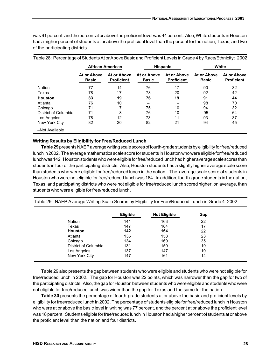was 91 percent, and the percent at or above the proficient level was 44 percent. Also, White students in Houston had a higher percent of students at or above the proficient level than the percent for the nation, Texas, and two of the participating districts.

|                      |                             | <b>African American</b>          |                             | <b>Hispanic</b>                  | White                       |                                  |
|----------------------|-----------------------------|----------------------------------|-----------------------------|----------------------------------|-----------------------------|----------------------------------|
|                      | At or Above<br><b>Basic</b> | At or Above<br><b>Proficient</b> | At or Above<br><b>Basic</b> | At or Above<br><b>Proficient</b> | At or Above<br><b>Basic</b> | At or Above<br><b>Proficient</b> |
| Nation               | 77                          | 14                               | 76                          | 17                               | 90                          | 32                               |
| Texas                | 78                          | 17                               | 78                          | 20                               | 92                          | 42                               |
| <b>Houston</b>       | 83                          | 19                               | 76                          | 19                               | 91                          | 44                               |
| Atlanta              | 76                          | 10                               | -                           |                                  | 98                          | 70                               |
| Chicago              | 71                          | 7                                | 75                          | 10                               | 94                          | 32                               |
| District of Columbia | 71                          | 8                                | 76                          | 10                               | 95                          | 64                               |
| Los Angeles          | 78                          | 12                               | 73                          | 11                               | 93                          | 37                               |
| New York City        | 82                          | 20                               | 82                          | 21                               | 94                          | 45                               |

### **Writing Results by Eligibility for Free/Reduced Lunch**

**Table 29** presents NAEP average writing scale scores of fourth-grade students by eligibility for free/reduced lunch in 2002. The average mathematics scale score for students in Houston who were eligible for free/reduced lunch was 142. Houston students who were eligible for free/reduced lunch had higher average scale scores than students in four of the participating districts. Also, Houston students had a slightly higher average scale score than students who were eligible for free/reduced lunch in the nation. The average scale score of students in Houston who were not eligible for free/reduced lunch was 164. In addition, fourth-grade students in the nation, Texas, and participating districts who were not eligible for free/reduced lunch scored higher, on average, than students who were eligible for free/reduced lunch.

|                      | <b>Eligible</b> | <b>Not Eligible</b> | Gap |
|----------------------|-----------------|---------------------|-----|
| Nation               | 141             | 163                 | 22  |
| Texas                | 147             | 164                 | 17  |
| Houston              | 142             | 164                 | 22  |
| Atlanta              | 135             | 158                 | 23  |
| Chicago              | 134             | 169                 | 35  |
| District of Columbia | 131             | 150                 | 19  |
| Los Angeles          | 137             | 147                 | 10  |
| New York City        | 147             | 161                 | 14  |

Table 29: NAEP Average Writing Scale Scores by Eligibility for Free/Reduced Lunch in Grade 4: 2002

Table 29 also presents the gap between students who were eligible and students who were not eligible for free/reduced lunch in 2002. The gap for Houston was 22 points, which was narrower than the gap for two of the participating districts. Also, the gap for Houston between students who were eligible and students who were not eligible for free/reduced lunch was wider than the gap for Texas and the same for the nation.

**Table 30** presents the percentage of fourth-grade students at or above the basic and proficient levels by eligibility for free/reduced lunch in 2002. The percentage of students eligible for free/reduced lunch in Houston who were at or above the basic level in writing was 77 percent, and the percent at or above the proficient level was 18 percent. Students eligible for free/reduced lunch in Houston had a higher percent of students at or above the proficient level than the nation and four districts.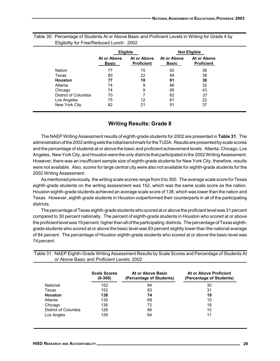|                      | <b>Eligible</b>             |                                  |                             | <b>Not Eligible</b>              |
|----------------------|-----------------------------|----------------------------------|-----------------------------|----------------------------------|
|                      | At or Above<br><b>Basic</b> | At or Above<br><b>Proficient</b> | At or Above<br><b>Basic</b> | At or Above<br><b>Proficient</b> |
| <b>Nation</b>        | 77                          | 15                               | 92                          | 36                               |
| Texas                | 80                          | 22                               | 89                          | 38                               |
| <b>Houston</b>       | 77                          | 18                               | 91                          | 38                               |
| Atlanta              | 74                          | 9                                | 86                          | 32                               |
| Chicago              | 74                          | 9                                | 95                          | 43                               |
| District of Columbia | 70                          |                                  | 82                          | 27                               |
| Los Angeles          | 75                          | 12                               | 81                          | 22                               |
| New York City        | 82                          | 21                               | 91                          | 37                               |

### Table 30: Percentage of Students At or Above Basic and Proficient Levels in Writing for Grade 4 by Eligibility for Free/Reduced Lunch: 2002

### **Writing Results: Grade 8**

The NAEP Writing Assessment results of eighth-grade students for 2002 are presented in **Table 31**. The administration of the 2002 writing sets the initial benchmark for the TUDA. Results are presented by scale scores and the percentage of students at or above the basic and proficient achievement levels. Atlanta, Chicago, Los Angeles, New York City, and Houston were the only districts that participated in the 2002 Writing Assessment. However, there was an insufficient sample size of eighth-grade students for New York City, therefore, results were not available. Also, scores for large central city were also not available for eighth-grade students for the 2002 Writing Assessment.

As mentioned previously, the writing scale scores range from 0 to 300. The average scale score for Texas eighth-grade students on the writing assessment was 152, which was the same scale score as the nation. Houston eighth-grade students achieved an average scale score of 138, which was lower than the nation and Texas. However, eighth grade students in Houston outperformed their counterparts in all of the participating districts.

The percentage of Texas eighth-grade students who scored at or above the proficient level was 31 percent compared to 30 percent nationally. The percent of eighth-grade students in Houston who scored at or above the proficient level was 19 percent, higher than all of the participating districts. The percentage of Texas eighthgrade students who scored at or above the basic level was 83 percent slightly lower than the national average of 84 percent. The percentage of Houston eighth-grade students who scored at or above the basic level was 74 percent.

|                      | or Above Basic and Proficient Levels: 2002 |                                               |                                                    |
|----------------------|--------------------------------------------|-----------------------------------------------|----------------------------------------------------|
|                      | <b>Scale Scores</b><br>$(0-300)$           | At or Above Basic<br>(Percentage of Students) | At or Above Proficient<br>(Percentage of Students) |
| National             | 152                                        | 84                                            | 30                                                 |
| Texas                | 152                                        | 83                                            | 31                                                 |
| <b>Houston</b>       | 138                                        | 74                                            | 19                                                 |
| Atlanta              | 130                                        | 68                                            | 10                                                 |
| Chicago              | 136                                        | 72                                            | 16                                                 |
| District of Columbia | 128                                        | 66                                            | 10                                                 |
| Los Angles           | 128                                        | 64                                            | 11                                                 |

Table 31: NAEP Eighth-Grade Writing Assessment Results by Scale Scores and Percentage of Students At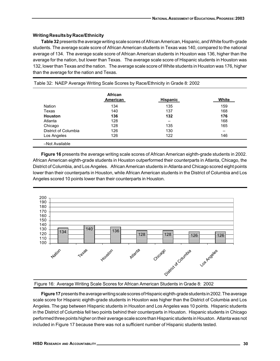### **Writing Results by Race/Ethnicity**

**Table 32** presents the average writing scale scores of African American, Hispanic, and White fourth-grade students. The average scale score of African American students in Texas was 140, compared to the national average of 134. The average scale score of African American students in Houston was 136, higher than the average for the nation, but lower than Texas. The average scale score of Hispanic students in Houston was 132, lower than Texas and the nation. The average scale score of White students in Houston was 176, higher than the average for the nation and Texas.

|                      | African<br>American | <b>Hispanic</b> | White |
|----------------------|---------------------|-----------------|-------|
| Nation               | 134                 | 135             | 159   |
| Texas                | 140                 | 137             | 168   |
| <b>Houston</b>       | 136                 | 132             | 176   |
| Atlanta              | 128                 |                 | 168   |
| Chicago              | 128                 | 135             | 165   |
| District of Columbia | 126                 | 130             |       |
| Los Angeles          | 126                 | 122             | 146   |

**Figure 16** presents the average writing scale scores of African American eighth-grade students in 2002. African American eighth-grade students in Houston outperformed their counterparts in Atlanta, Chicago, the District of Columbia, and Los Angeles. African American students in Atlanta and Chicago scored eight points lower than their counterparts in Houston, while African American students in the District of Columbia and Los Angeles scored 10 points lower than their counterparts in Houston.



### Figure 16: Average Writing Scale Scores for African American Students in Grade 8: 2002

**Figure 17** presents the average writing scale scores of Hispanic eighth-grade students in 2002. The average scale score for Hispanic eighth-grade students in Houston was higher than the District of Columbia and Los Angeles. The gap between Hispanic students in Houston and Los Angeles was 10 points. Hispanic students in the District of Columbia fell two points behind their counterparts in Houston. Hispanic students in Chicago performed three points higher on their average scale score than Hispanic students in Houston. Atlanta was not included in Figure 17 because there was not a sufficient number of Hispanic students tested.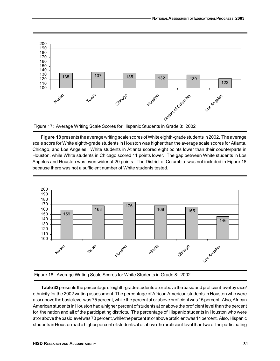

**Figure 18** presents the average writing scale scores of White eighth-grade students in 2002. The average scale score for White eighth-grade students in Houston was higher than the average scale scores for Atlanta, Chicago, and Los Angeles. White students in Atlanta scored eight points lower than their counterparts in Houston, while White students in Chicago scored 11 points lower. The gap between White students in Los Angeles and Houston was even wider at 20 points. The District of Columbia was not included in Figure 18 because there was not a sufficient number of White students tested.



Figure 18: Average Writing Scale Scores for White Students in Grade 8: 2002

**Table 33** presents the percentage of eighth-grade students at or above the basic and proficient level by race/ ethnicity for the 2002 writing assessment. The percentage of African American students in Houston who were at or above the basic level was 75 percent, while the percent at or above proficient was 15 percent. Also, African American students in Houston had a higher percent of students at or above the proficient level than the percent for the nation and all of the participating districts. The percentage of Hispanic students in Houston who were at or above the basic level was 70 percent, while the percent at or above proficient was 14 percent. Also, Hispanic students in Houston had a higher percent of students at or above the proficient level than two of the participating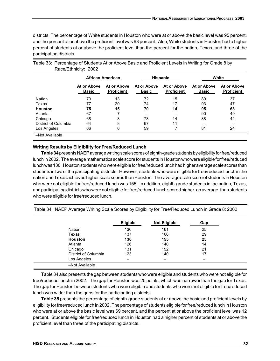districts. The percentage of White students in Houston who were at or above the basic level was 95 percent, and the percent at or above the proficient level was 63 percent. Also, White students in Houston had a higher percent of students at or above the proficient level than the percent for the nation, Texas, and three of the participating districts.

|                      | <b>African American</b>     |                                  |                             | <b>Hispanic</b>                  |                             | White                            |
|----------------------|-----------------------------|----------------------------------|-----------------------------|----------------------------------|-----------------------------|----------------------------------|
|                      | At or Above<br><b>Basic</b> | At or Above<br><b>Proficient</b> | At or Above<br><b>Basic</b> | At or Above<br><b>Proficient</b> | At or Above<br><b>Basic</b> | At or Above<br><b>Proficient</b> |
| <b>Nation</b>        | 73                          | 13                               | 72                          | 15                               | 89                          | 37                               |
| Texas                | 77                          | 20                               | 74                          | 17                               | 93                          | 47                               |
| <b>Houston</b>       | 75                          | 15                               | 70                          | 14                               | 95                          | 63                               |
| Atlanta              | 67                          |                                  |                             |                                  | 90                          | 49                               |
| Chicago              | 68                          | 8                                | 73                          | 14                               | 88                          | 44                               |
| District of Columbia | 64                          | 8                                | 67                          | 11                               |                             |                                  |
| Los Angeles          | 66                          | 6                                | 59                          |                                  | 81                          | 24                               |
| -Not Available       |                             |                                  |                             |                                  |                             |                                  |

Table 33: Percentage of Students At or Above Basic and Proficient Levels in Writing for Grade 8 by Race/Ethnicity: 2002

### **Writing Results by Eligibility for Free/Reduced Lunch**

**Table 34** presents NAEP average writing scale scores of eighth-grade students by eligibility for free/reduced lunch in 2002. The average mathematics scale score for students in Houston who were eligible for free/reduced lunch was 130. Houston students who were eligible for free/reduced lunch had higher average scale scores than students in two of the participating districts. However, students who were eligible for free/reduced lunch in the nation and Texas achieved higher scale scores than Houston. The average scale score of students in Houston who were not eligible for free/reduced lunch was 155. In addition, eighth-grade students in the nation, Texas, and participating districts who were not eligible for free/reduced lunch scored higher, on average, than students who were eligible for free/reduced lunch.

| Table 34: NAEP Average Writing Scale Scores by Eligibility for Free/Reduced Lunch in Grade 8: 2002 |  |  |  |  |  |  |  |
|----------------------------------------------------------------------------------------------------|--|--|--|--|--|--|--|
|----------------------------------------------------------------------------------------------------|--|--|--|--|--|--|--|

|                      | <b>Eligible</b> | <b>Not Eligible</b> | Gap |
|----------------------|-----------------|---------------------|-----|
| Nation               | 136             | 161                 | 25  |
| Texas                | 137             | 166                 | 29  |
| <b>Houston</b>       | 130             | 155                 | 25  |
| Atlanta              | 126             | 140                 | 14  |
| Chicago              | 131             | 152                 | 21  |
| District of Columbia | 123             | 140                 | 17  |
| Los Angeles          | -               |                     |     |
| -Not Available       |                 |                     |     |

Table 34 also presents the gap between students who were eligible and students who were not eligible for free/reduced lunch in 2002. The gap for Houston was 25 points, which was narrower than the gap for Texas. The gap for Houston between students who were eligible and students who were not eligible for free/reduced lunch was wider than the gaps for the participating districts.

**Table 35** presents the percentage of eighth-grade students at or above the basic and proficient levels by eligibility for free/reduced lunch in 2002. The percentage of students eligible for free/reduced lunch in Houston who were at or above the basic level was 69 percent, and the percent at or above the proficient level was 12 percent. Students eligible for free/reduced lunch in Houston had a higher percent of students at or above the proficient level than three of the participating districts.